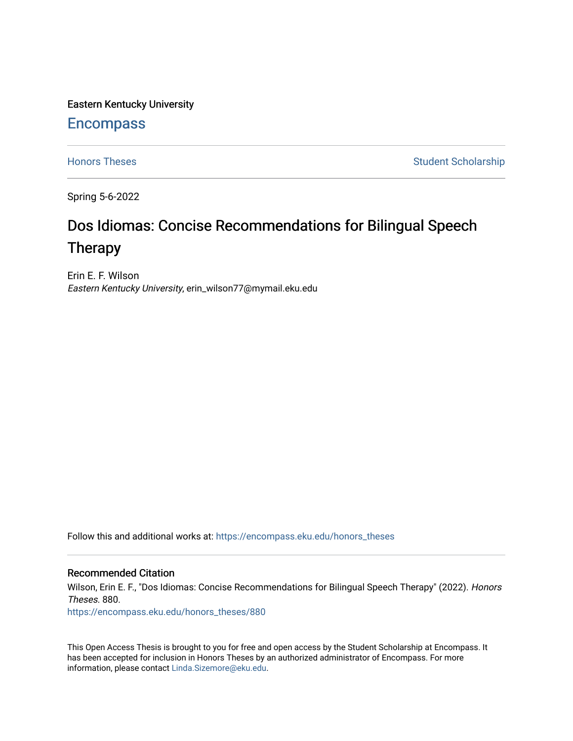Eastern Kentucky University

# **Encompass**

[Honors Theses](https://encompass.eku.edu/honors_theses) **Student Scholarship** Student Scholarship

Spring 5-6-2022

# Dos Idiomas: Concise Recommendations for Bilingual Speech Therapy

Erin E. F. Wilson Eastern Kentucky University, erin\_wilson77@mymail.eku.edu

Follow this and additional works at: [https://encompass.eku.edu/honors\\_theses](https://encompass.eku.edu/honors_theses?utm_source=encompass.eku.edu%2Fhonors_theses%2F880&utm_medium=PDF&utm_campaign=PDFCoverPages) 

#### Recommended Citation

Wilson, Erin E. F., "Dos Idiomas: Concise Recommendations for Bilingual Speech Therapy" (2022). Honors Theses. 880.

[https://encompass.eku.edu/honors\\_theses/880](https://encompass.eku.edu/honors_theses/880?utm_source=encompass.eku.edu%2Fhonors_theses%2F880&utm_medium=PDF&utm_campaign=PDFCoverPages) 

This Open Access Thesis is brought to you for free and open access by the Student Scholarship at Encompass. It has been accepted for inclusion in Honors Theses by an authorized administrator of Encompass. For more information, please contact [Linda.Sizemore@eku.edu.](mailto:Linda.Sizemore@eku.edu)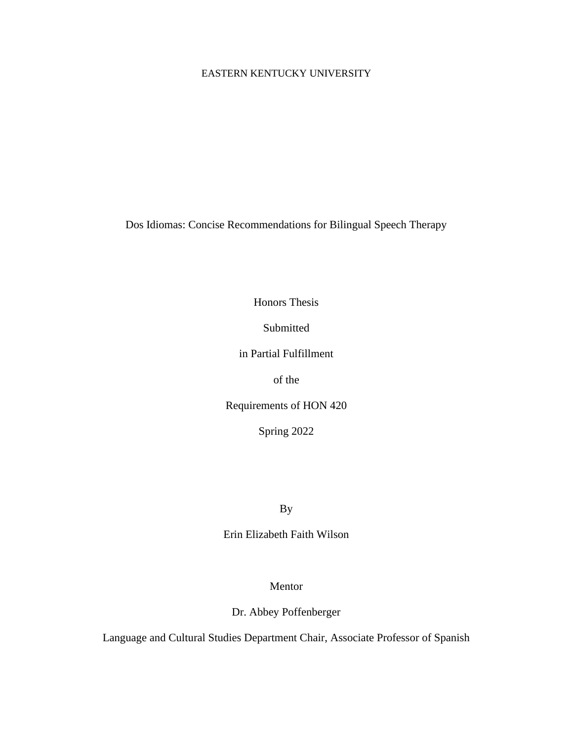#### EASTERN KENTUCKY UNIVERSITY

Dos Idiomas: Concise Recommendations for Bilingual Speech Therapy

Honors Thesis

Submitted

in Partial Fulfillment

of the

Requirements of HON 420

Spring 2022

By

Erin Elizabeth Faith Wilson

Mentor

Dr. Abbey Poffenberger

Language and Cultural Studies Department Chair, Associate Professor of Spanish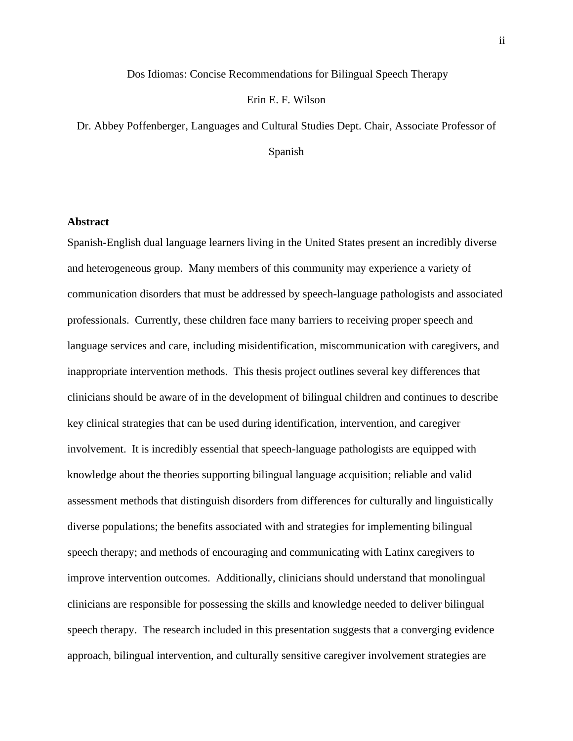#### Dos Idiomas: Concise Recommendations for Bilingual Speech Therapy

#### Erin E. F. Wilson

Dr. Abbey Poffenberger, Languages and Cultural Studies Dept. Chair, Associate Professor of

Spanish

#### <span id="page-2-0"></span>**Abstract**

Spanish-English dual language learners living in the United States present an incredibly diverse and heterogeneous group. Many members of this community may experience a variety of communication disorders that must be addressed by speech-language pathologists and associated professionals. Currently, these children face many barriers to receiving proper speech and language services and care, including misidentification, miscommunication with caregivers, and inappropriate intervention methods. This thesis project outlines several key differences that clinicians should be aware of in the development of bilingual children and continues to describe key clinical strategies that can be used during identification, intervention, and caregiver involvement. It is incredibly essential that speech-language pathologists are equipped with knowledge about the theories supporting bilingual language acquisition; reliable and valid assessment methods that distinguish disorders from differences for culturally and linguistically diverse populations; the benefits associated with and strategies for implementing bilingual speech therapy; and methods of encouraging and communicating with Latinx caregivers to improve intervention outcomes. Additionally, clinicians should understand that monolingual clinicians are responsible for possessing the skills and knowledge needed to deliver bilingual speech therapy. The research included in this presentation suggests that a converging evidence approach, bilingual intervention, and culturally sensitive caregiver involvement strategies are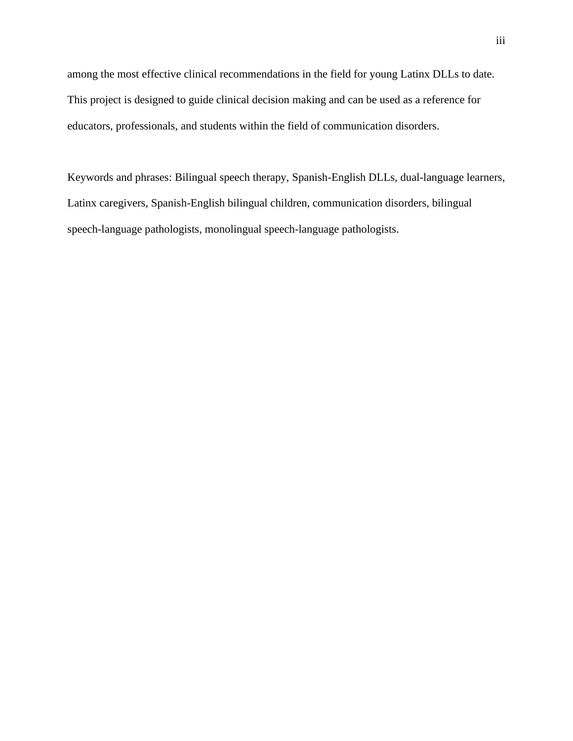among the most effective clinical recommendations in the field for young Latinx DLLs to date. This project is designed to guide clinical decision making and can be used as a reference for educators, professionals, and students within the field of communication disorders.

Keywords and phrases: Bilingual speech therapy, Spanish-English DLLs, dual-language learners, Latinx caregivers, Spanish-English bilingual children, communication disorders, bilingual speech-language pathologists, monolingual speech-language pathologists.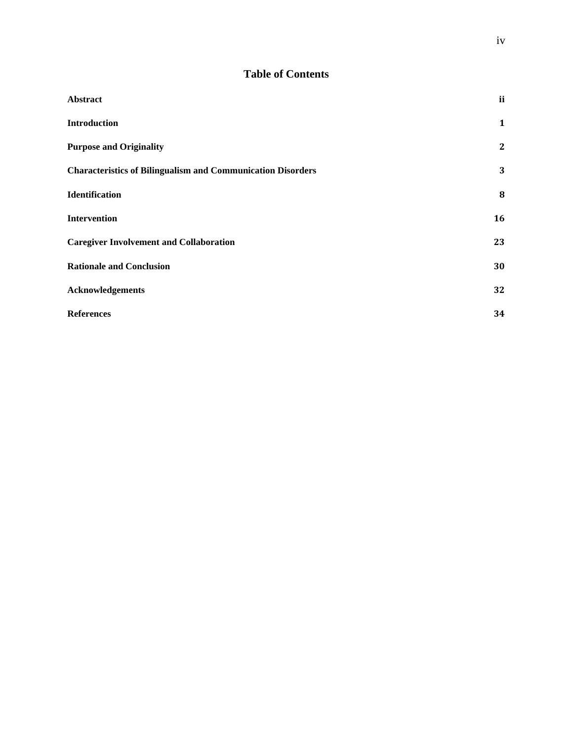# **Table of Contents**

| Abstract                                                           | ii           |
|--------------------------------------------------------------------|--------------|
| <b>Introduction</b>                                                | $\mathbf{1}$ |
| <b>Purpose and Originality</b>                                     | $\mathbf{2}$ |
| <b>Characteristics of Bilingualism and Communication Disorders</b> | 3            |
| Identification                                                     | 8            |
| <b>Intervention</b>                                                | 16           |
| <b>Caregiver Involvement and Collaboration</b>                     | 23           |
| <b>Rationale and Conclusion</b>                                    | 30           |
| Acknowledgements                                                   | 32           |
| <b>References</b>                                                  | 34           |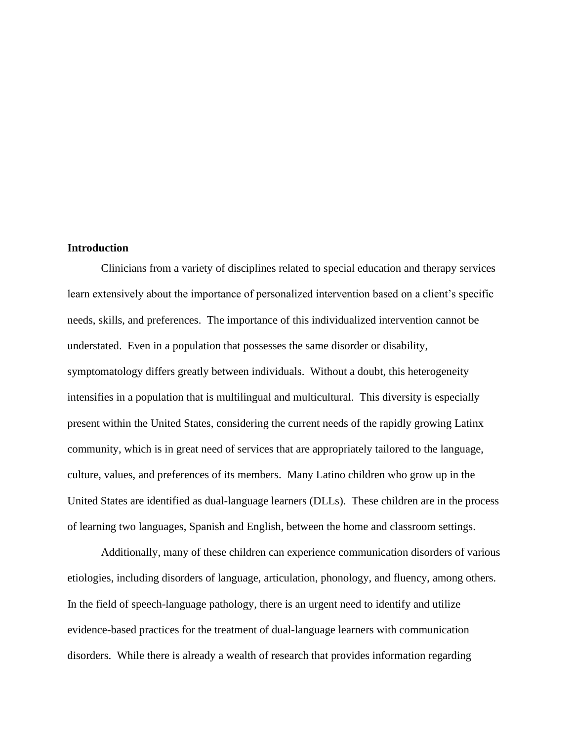#### <span id="page-5-0"></span>**Introduction**

 Clinicians from a variety of disciplines related to special education and therapy services learn extensively about the importance of personalized intervention based on a client's specific needs, skills, and preferences. The importance of this individualized intervention cannot be understated. Even in a population that possesses the same disorder or disability, symptomatology differs greatly between individuals. Without a doubt, this heterogeneity intensifies in a population that is multilingual and multicultural. This diversity is especially present within the United States, considering the current needs of the rapidly growing Latinx community, which is in great need of services that are appropriately tailored to the language, culture, values, and preferences of its members. Many Latino children who grow up in the United States are identified as dual-language learners (DLLs). These children are in the process of learning two languages, Spanish and English, between the home and classroom settings.

Additionally, many of these children can experience communication disorders of various etiologies, including disorders of language, articulation, phonology, and fluency, among others. In the field of speech-language pathology, there is an urgent need to identify and utilize evidence-based practices for the treatment of dual-language learners with communication disorders. While there is already a wealth of research that provides information regarding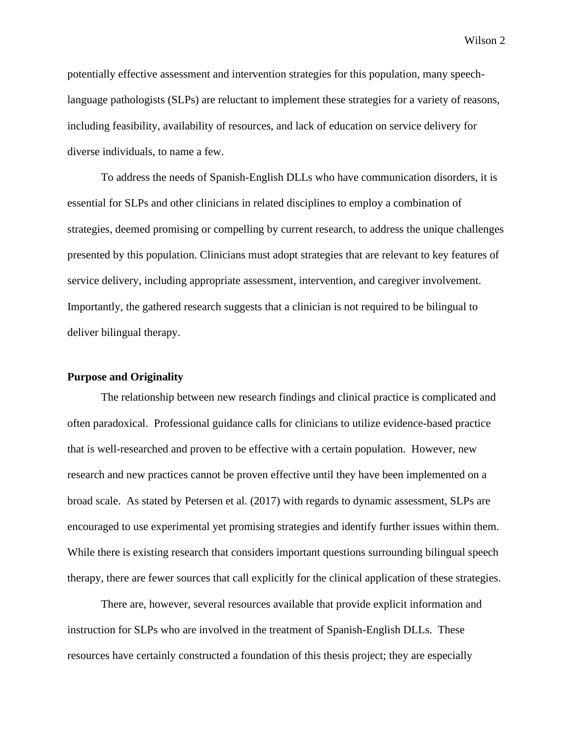potentially effective assessment and intervention strategies for this population, many speechlanguage pathologists (SLPs) are reluctant to implement these strategies for a variety of reasons, including feasibility, availability of resources, and lack of education on service delivery for diverse individuals, to name a few.

To address the needs of Spanish-English DLLs who have communication disorders, it is essential for SLPs and other clinicians in related disciplines to employ a combination of strategies, deemed promising or compelling by current research, to address the unique challenges presented by this population. Clinicians must adopt strategies that are relevant to key features of service delivery, including appropriate assessment, intervention, and caregiver involvement. Importantly, the gathered research suggests that a clinician is not required to be bilingual to deliver bilingual therapy.

#### <span id="page-6-0"></span>**Purpose and Originality**

 The relationship between new research findings and clinical practice is complicated and often paradoxical. Professional guidance calls for clinicians to utilize evidence-based practice that is well-researched and proven to be effective with a certain population. However, new research and new practices cannot be proven effective until they have been implemented on a broad scale. As stated by Petersen et al. (2017) with regards to dynamic assessment, SLPs are encouraged to use experimental yet promising strategies and identify further issues within them. While there is existing research that considers important questions surrounding bilingual speech therapy, there are fewer sources that call explicitly for the clinical application of these strategies.

There are, however, several resources available that provide explicit information and instruction for SLPs who are involved in the treatment of Spanish-English DLLs. These resources have certainly constructed a foundation of this thesis project; they are especially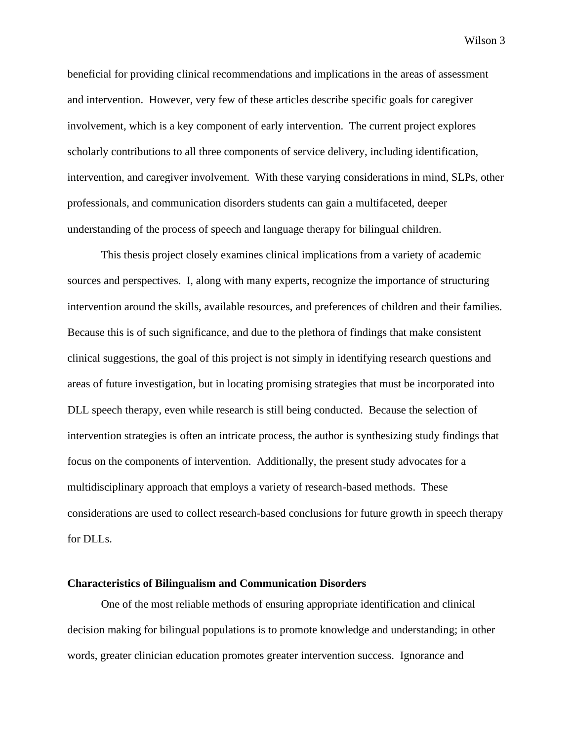beneficial for providing clinical recommendations and implications in the areas of assessment and intervention. However, very few of these articles describe specific goals for caregiver involvement, which is a key component of early intervention. The current project explores scholarly contributions to all three components of service delivery, including identification, intervention, and caregiver involvement. With these varying considerations in mind, SLPs, other professionals, and communication disorders students can gain a multifaceted, deeper understanding of the process of speech and language therapy for bilingual children.

 This thesis project closely examines clinical implications from a variety of academic sources and perspectives. I, along with many experts, recognize the importance of structuring intervention around the skills, available resources, and preferences of children and their families. Because this is of such significance, and due to the plethora of findings that make consistent clinical suggestions, the goal of this project is not simply in identifying research questions and areas of future investigation, but in locating promising strategies that must be incorporated into DLL speech therapy, even while research is still being conducted. Because the selection of intervention strategies is often an intricate process, the author is synthesizing study findings that focus on the components of intervention. Additionally, the present study advocates for a multidisciplinary approach that employs a variety of research-based methods. These considerations are used to collect research-based conclusions for future growth in speech therapy for DLLs.

## <span id="page-7-0"></span>**Characteristics of Bilingualism and Communication Disorders**

One of the most reliable methods of ensuring appropriate identification and clinical decision making for bilingual populations is to promote knowledge and understanding; in other words, greater clinician education promotes greater intervention success. Ignorance and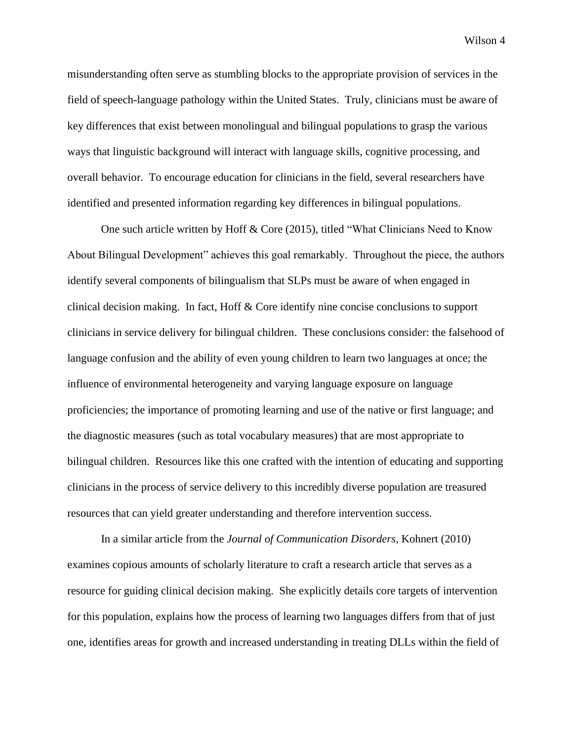misunderstanding often serve as stumbling blocks to the appropriate provision of services in the field of speech-language pathology within the United States. Truly, clinicians must be aware of key differences that exist between monolingual and bilingual populations to grasp the various ways that linguistic background will interact with language skills, cognitive processing, and overall behavior. To encourage education for clinicians in the field, several researchers have identified and presented information regarding key differences in bilingual populations.

One such article written by Hoff & Core (2015), titled "What Clinicians Need to Know About Bilingual Development" achieves this goal remarkably. Throughout the piece, the authors identify several components of bilingualism that SLPs must be aware of when engaged in clinical decision making. In fact, Hoff & Core identify nine concise conclusions to support clinicians in service delivery for bilingual children. These conclusions consider: the falsehood of language confusion and the ability of even young children to learn two languages at once; the influence of environmental heterogeneity and varying language exposure on language proficiencies; the importance of promoting learning and use of the native or first language; and the diagnostic measures (such as total vocabulary measures) that are most appropriate to bilingual children. Resources like this one crafted with the intention of educating and supporting clinicians in the process of service delivery to this incredibly diverse population are treasured resources that can yield greater understanding and therefore intervention success.

In a similar article from the *Journal of Communication Disorders*, Kohnert (2010) examines copious amounts of scholarly literature to craft a research article that serves as a resource for guiding clinical decision making. She explicitly details core targets of intervention for this population, explains how the process of learning two languages differs from that of just one, identifies areas for growth and increased understanding in treating DLLs within the field of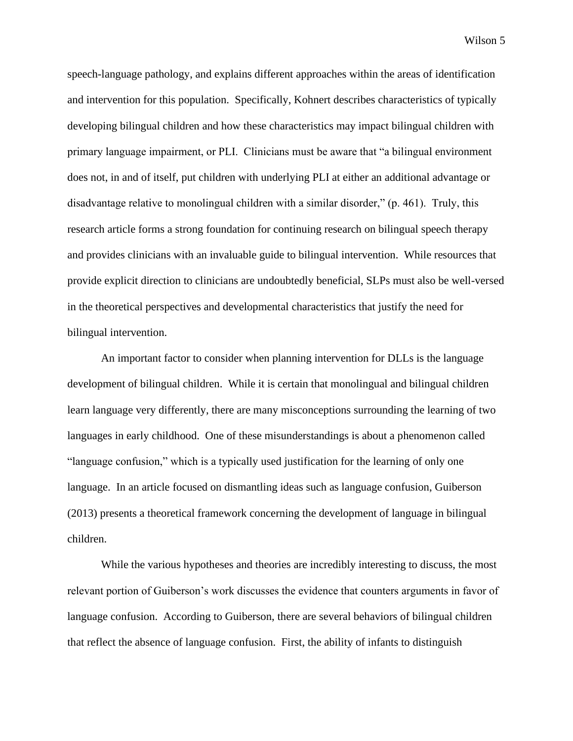speech-language pathology, and explains different approaches within the areas of identification and intervention for this population. Specifically, Kohnert describes characteristics of typically developing bilingual children and how these characteristics may impact bilingual children with primary language impairment, or PLI. Clinicians must be aware that "a bilingual environment does not, in and of itself, put children with underlying PLI at either an additional advantage or disadvantage relative to monolingual children with a similar disorder," (p. 461). Truly, this research article forms a strong foundation for continuing research on bilingual speech therapy and provides clinicians with an invaluable guide to bilingual intervention. While resources that provide explicit direction to clinicians are undoubtedly beneficial, SLPs must also be well-versed in the theoretical perspectives and developmental characteristics that justify the need for bilingual intervention.

An important factor to consider when planning intervention for DLLs is the language development of bilingual children. While it is certain that monolingual and bilingual children learn language very differently, there are many misconceptions surrounding the learning of two languages in early childhood. One of these misunderstandings is about a phenomenon called "language confusion," which is a typically used justification for the learning of only one language. In an article focused on dismantling ideas such as language confusion, Guiberson (2013) presents a theoretical framework concerning the development of language in bilingual children.

While the various hypotheses and theories are incredibly interesting to discuss, the most relevant portion of Guiberson's work discusses the evidence that counters arguments in favor of language confusion. According to Guiberson, there are several behaviors of bilingual children that reflect the absence of language confusion. First, the ability of infants to distinguish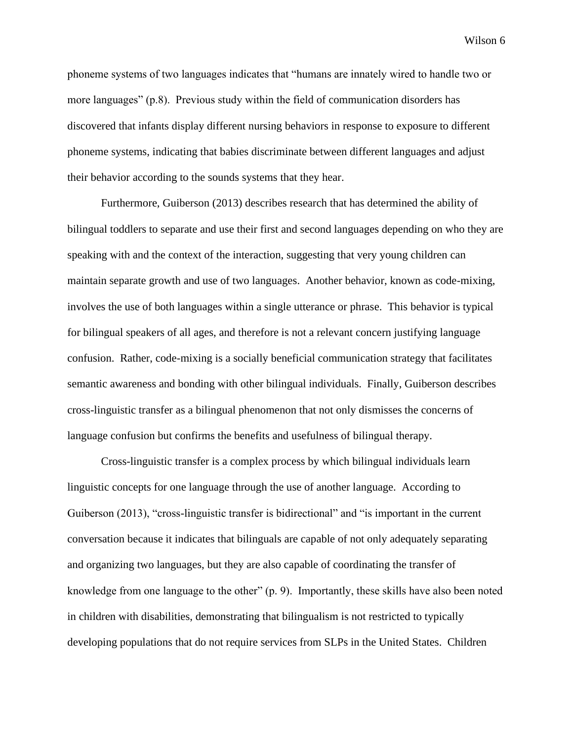phoneme systems of two languages indicates that "humans are innately wired to handle two or more languages" (p.8). Previous study within the field of communication disorders has discovered that infants display different nursing behaviors in response to exposure to different phoneme systems, indicating that babies discriminate between different languages and adjust their behavior according to the sounds systems that they hear.

Furthermore, Guiberson (2013) describes research that has determined the ability of bilingual toddlers to separate and use their first and second languages depending on who they are speaking with and the context of the interaction, suggesting that very young children can maintain separate growth and use of two languages. Another behavior, known as code-mixing, involves the use of both languages within a single utterance or phrase. This behavior is typical for bilingual speakers of all ages, and therefore is not a relevant concern justifying language confusion. Rather, code-mixing is a socially beneficial communication strategy that facilitates semantic awareness and bonding with other bilingual individuals. Finally, Guiberson describes cross-linguistic transfer as a bilingual phenomenon that not only dismisses the concerns of language confusion but confirms the benefits and usefulness of bilingual therapy.

Cross-linguistic transfer is a complex process by which bilingual individuals learn linguistic concepts for one language through the use of another language. According to Guiberson (2013), "cross-linguistic transfer is bidirectional" and "is important in the current conversation because it indicates that bilinguals are capable of not only adequately separating and organizing two languages, but they are also capable of coordinating the transfer of knowledge from one language to the other" (p. 9). Importantly, these skills have also been noted in children with disabilities, demonstrating that bilingualism is not restricted to typically developing populations that do not require services from SLPs in the United States. Children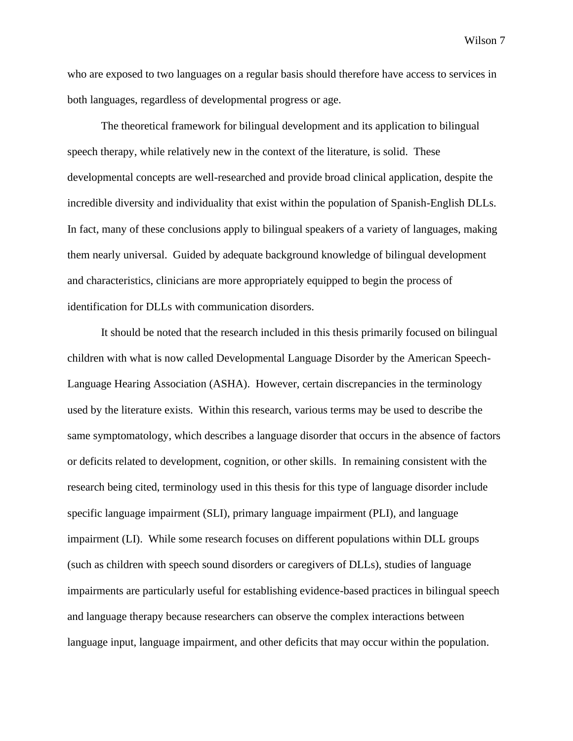who are exposed to two languages on a regular basis should therefore have access to services in both languages, regardless of developmental progress or age.

The theoretical framework for bilingual development and its application to bilingual speech therapy, while relatively new in the context of the literature, is solid. These developmental concepts are well-researched and provide broad clinical application, despite the incredible diversity and individuality that exist within the population of Spanish-English DLLs. In fact, many of these conclusions apply to bilingual speakers of a variety of languages, making them nearly universal. Guided by adequate background knowledge of bilingual development and characteristics, clinicians are more appropriately equipped to begin the process of identification for DLLs with communication disorders.

It should be noted that the research included in this thesis primarily focused on bilingual children with what is now called Developmental Language Disorder by the American Speech-Language Hearing Association (ASHA). However, certain discrepancies in the terminology used by the literature exists. Within this research, various terms may be used to describe the same symptomatology, which describes a language disorder that occurs in the absence of factors or deficits related to development, cognition, or other skills. In remaining consistent with the research being cited, terminology used in this thesis for this type of language disorder include specific language impairment (SLI), primary language impairment (PLI), and language impairment (LI). While some research focuses on different populations within DLL groups (such as children with speech sound disorders or caregivers of DLLs), studies of language impairments are particularly useful for establishing evidence-based practices in bilingual speech and language therapy because researchers can observe the complex interactions between language input, language impairment, and other deficits that may occur within the population.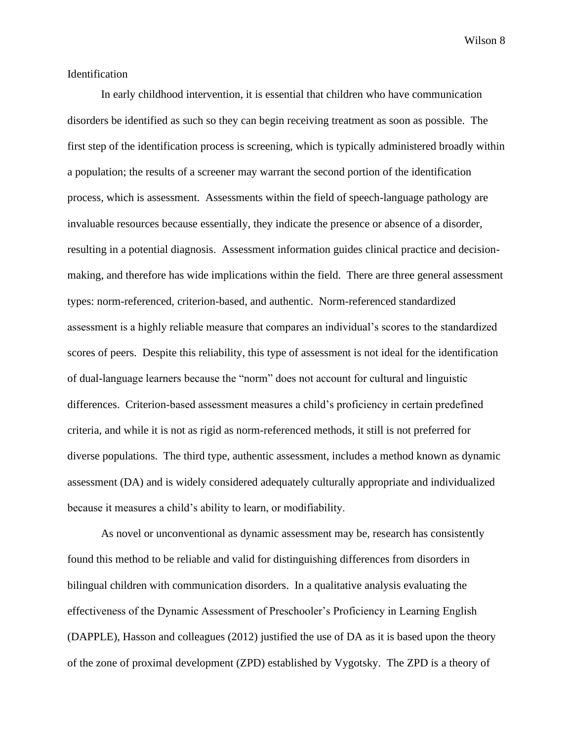### <span id="page-12-0"></span>Identification

 In early childhood intervention, it is essential that children who have communication disorders be identified as such so they can begin receiving treatment as soon as possible. The first step of the identification process is screening, which is typically administered broadly within a population; the results of a screener may warrant the second portion of the identification process, which is assessment. Assessments within the field of speech-language pathology are invaluable resources because essentially, they indicate the presence or absence of a disorder, resulting in a potential diagnosis. Assessment information guides clinical practice and decisionmaking, and therefore has wide implications within the field. There are three general assessment types: norm-referenced, criterion-based, and authentic. Norm-referenced standardized assessment is a highly reliable measure that compares an individual's scores to the standardized scores of peers. Despite this reliability, this type of assessment is not ideal for the identification of dual-language learners because the "norm" does not account for cultural and linguistic differences. Criterion-based assessment measures a child's proficiency in certain predefined criteria, and while it is not as rigid as norm-referenced methods, it still is not preferred for diverse populations. The third type, authentic assessment, includes a method known as dynamic assessment (DA) and is widely considered adequately culturally appropriate and individualized because it measures a child's ability to learn, or modifiability.

As novel or unconventional as dynamic assessment may be, research has consistently found this method to be reliable and valid for distinguishing differences from disorders in bilingual children with communication disorders. In a qualitative analysis evaluating the effectiveness of the Dynamic Assessment of Preschooler's Proficiency in Learning English (DAPPLE), Hasson and colleagues (2012) justified the use of DA as it is based upon the theory of the zone of proximal development (ZPD) established by Vygotsky. The ZPD is a theory of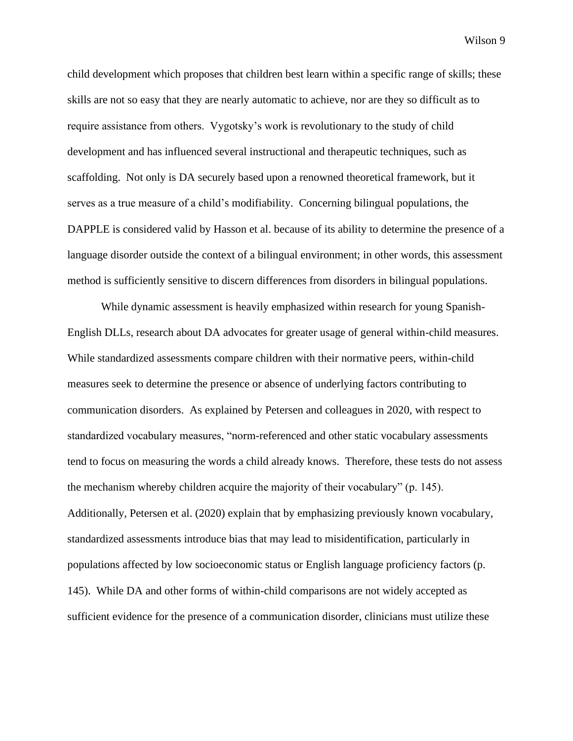child development which proposes that children best learn within a specific range of skills; these skills are not so easy that they are nearly automatic to achieve, nor are they so difficult as to require assistance from others. Vygotsky's work is revolutionary to the study of child development and has influenced several instructional and therapeutic techniques, such as scaffolding. Not only is DA securely based upon a renowned theoretical framework, but it serves as a true measure of a child's modifiability. Concerning bilingual populations, the DAPPLE is considered valid by Hasson et al. because of its ability to determine the presence of a language disorder outside the context of a bilingual environment; in other words, this assessment method is sufficiently sensitive to discern differences from disorders in bilingual populations.

While dynamic assessment is heavily emphasized within research for young Spanish-English DLLs, research about DA advocates for greater usage of general within-child measures. While standardized assessments compare children with their normative peers, within-child measures seek to determine the presence or absence of underlying factors contributing to communication disorders. As explained by Petersen and colleagues in 2020, with respect to standardized vocabulary measures, "norm-referenced and other static vocabulary assessments tend to focus on measuring the words a child already knows. Therefore, these tests do not assess the mechanism whereby children acquire the majority of their vocabulary" (p. 145). Additionally, Petersen et al. (2020) explain that by emphasizing previously known vocabulary, standardized assessments introduce bias that may lead to misidentification, particularly in populations affected by low socioeconomic status or English language proficiency factors (p. 145). While DA and other forms of within-child comparisons are not widely accepted as sufficient evidence for the presence of a communication disorder, clinicians must utilize these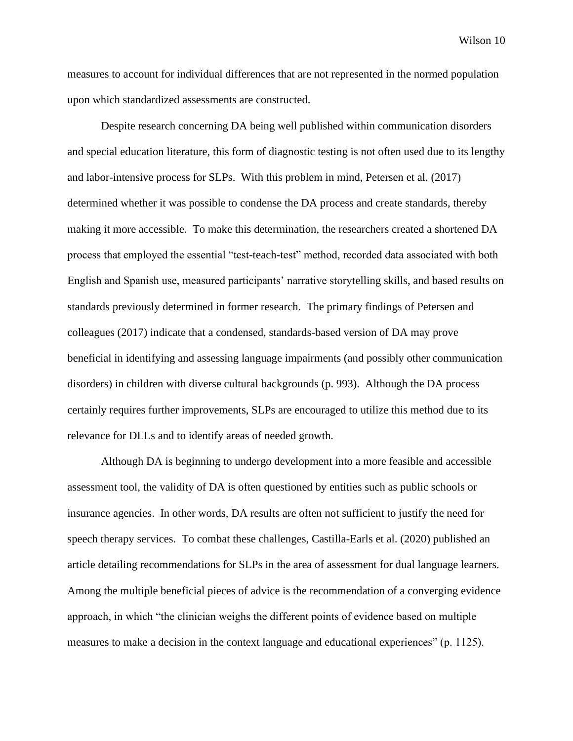measures to account for individual differences that are not represented in the normed population upon which standardized assessments are constructed.

Despite research concerning DA being well published within communication disorders and special education literature, this form of diagnostic testing is not often used due to its lengthy and labor-intensive process for SLPs. With this problem in mind, Petersen et al. (2017) determined whether it was possible to condense the DA process and create standards, thereby making it more accessible. To make this determination, the researchers created a shortened DA process that employed the essential "test-teach-test" method, recorded data associated with both English and Spanish use, measured participants' narrative storytelling skills, and based results on standards previously determined in former research. The primary findings of Petersen and colleagues (2017) indicate that a condensed, standards-based version of DA may prove beneficial in identifying and assessing language impairments (and possibly other communication disorders) in children with diverse cultural backgrounds (p. 993). Although the DA process certainly requires further improvements, SLPs are encouraged to utilize this method due to its relevance for DLLs and to identify areas of needed growth.

Although DA is beginning to undergo development into a more feasible and accessible assessment tool, the validity of DA is often questioned by entities such as public schools or insurance agencies. In other words, DA results are often not sufficient to justify the need for speech therapy services. To combat these challenges, Castilla-Earls et al. (2020) published an article detailing recommendations for SLPs in the area of assessment for dual language learners. Among the multiple beneficial pieces of advice is the recommendation of a converging evidence approach, in which "the clinician weighs the different points of evidence based on multiple measures to make a decision in the context language and educational experiences" (p. 1125).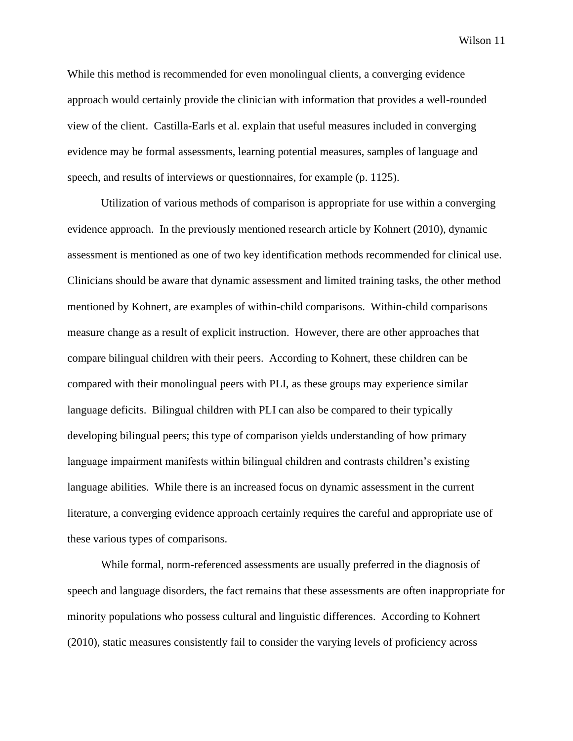While this method is recommended for even monolingual clients, a converging evidence approach would certainly provide the clinician with information that provides a well-rounded view of the client. Castilla-Earls et al. explain that useful measures included in converging evidence may be formal assessments, learning potential measures, samples of language and speech, and results of interviews or questionnaires, for example (p. 1125).

Utilization of various methods of comparison is appropriate for use within a converging evidence approach. In the previously mentioned research article by Kohnert (2010), dynamic assessment is mentioned as one of two key identification methods recommended for clinical use. Clinicians should be aware that dynamic assessment and limited training tasks, the other method mentioned by Kohnert, are examples of within-child comparisons. Within-child comparisons measure change as a result of explicit instruction. However, there are other approaches that compare bilingual children with their peers. According to Kohnert, these children can be compared with their monolingual peers with PLI, as these groups may experience similar language deficits. Bilingual children with PLI can also be compared to their typically developing bilingual peers; this type of comparison yields understanding of how primary language impairment manifests within bilingual children and contrasts children's existing language abilities. While there is an increased focus on dynamic assessment in the current literature, a converging evidence approach certainly requires the careful and appropriate use of these various types of comparisons.

While formal, norm-referenced assessments are usually preferred in the diagnosis of speech and language disorders, the fact remains that these assessments are often inappropriate for minority populations who possess cultural and linguistic differences. According to Kohnert (2010), static measures consistently fail to consider the varying levels of proficiency across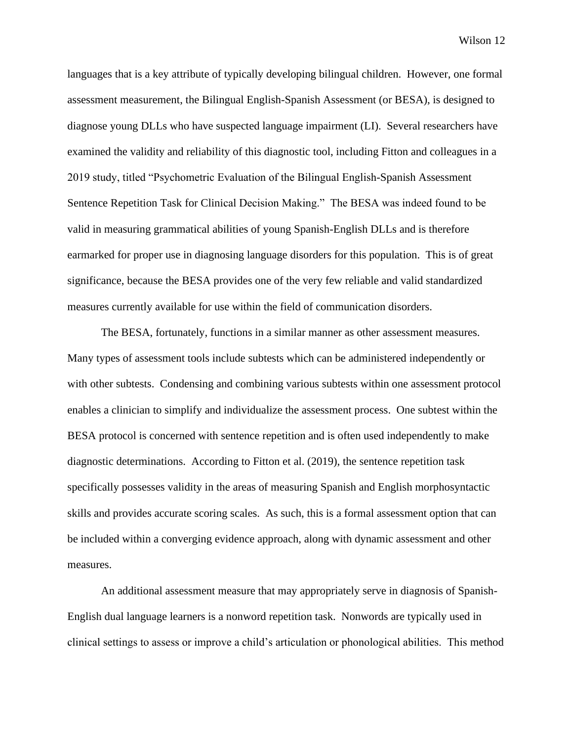languages that is a key attribute of typically developing bilingual children. However, one formal assessment measurement, the Bilingual English-Spanish Assessment (or BESA), is designed to diagnose young DLLs who have suspected language impairment (LI). Several researchers have examined the validity and reliability of this diagnostic tool, including Fitton and colleagues in a 2019 study, titled "Psychometric Evaluation of the Bilingual English-Spanish Assessment Sentence Repetition Task for Clinical Decision Making." The BESA was indeed found to be valid in measuring grammatical abilities of young Spanish-English DLLs and is therefore earmarked for proper use in diagnosing language disorders for this population. This is of great significance, because the BESA provides one of the very few reliable and valid standardized measures currently available for use within the field of communication disorders.

The BESA, fortunately, functions in a similar manner as other assessment measures. Many types of assessment tools include subtests which can be administered independently or with other subtests. Condensing and combining various subtests within one assessment protocol enables a clinician to simplify and individualize the assessment process. One subtest within the BESA protocol is concerned with sentence repetition and is often used independently to make diagnostic determinations. According to Fitton et al. (2019), the sentence repetition task specifically possesses validity in the areas of measuring Spanish and English morphosyntactic skills and provides accurate scoring scales. As such, this is a formal assessment option that can be included within a converging evidence approach, along with dynamic assessment and other measures.

An additional assessment measure that may appropriately serve in diagnosis of Spanish-English dual language learners is a nonword repetition task. Nonwords are typically used in clinical settings to assess or improve a child's articulation or phonological abilities. This method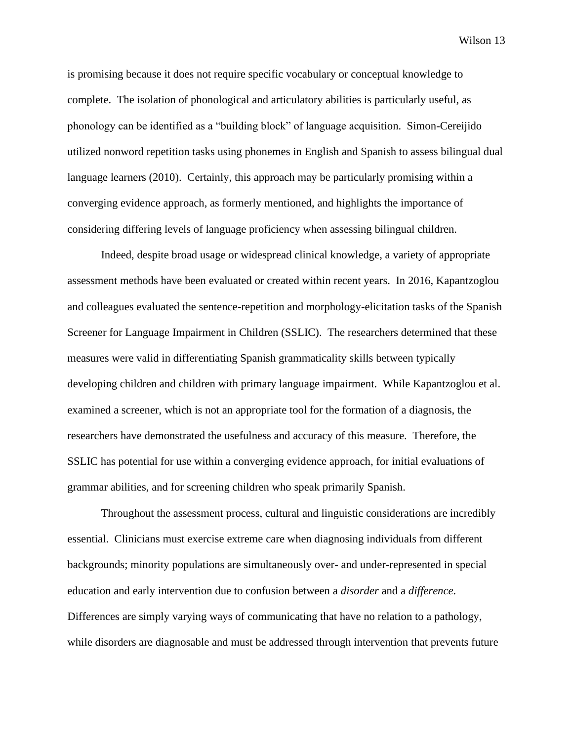is promising because it does not require specific vocabulary or conceptual knowledge to complete. The isolation of phonological and articulatory abilities is particularly useful, as phonology can be identified as a "building block" of language acquisition. Simon-Cereijido utilized nonword repetition tasks using phonemes in English and Spanish to assess bilingual dual language learners (2010). Certainly, this approach may be particularly promising within a converging evidence approach, as formerly mentioned, and highlights the importance of considering differing levels of language proficiency when assessing bilingual children.

Indeed, despite broad usage or widespread clinical knowledge, a variety of appropriate assessment methods have been evaluated or created within recent years. In 2016, Kapantzoglou and colleagues evaluated the sentence-repetition and morphology-elicitation tasks of the Spanish Screener for Language Impairment in Children (SSLIC). The researchers determined that these measures were valid in differentiating Spanish grammaticality skills between typically developing children and children with primary language impairment. While Kapantzoglou et al. examined a screener, which is not an appropriate tool for the formation of a diagnosis, the researchers have demonstrated the usefulness and accuracy of this measure. Therefore, the SSLIC has potential for use within a converging evidence approach, for initial evaluations of grammar abilities, and for screening children who speak primarily Spanish.

Throughout the assessment process, cultural and linguistic considerations are incredibly essential. Clinicians must exercise extreme care when diagnosing individuals from different backgrounds; minority populations are simultaneously over- and under-represented in special education and early intervention due to confusion between a *disorder* and a *difference*. Differences are simply varying ways of communicating that have no relation to a pathology, while disorders are diagnosable and must be addressed through intervention that prevents future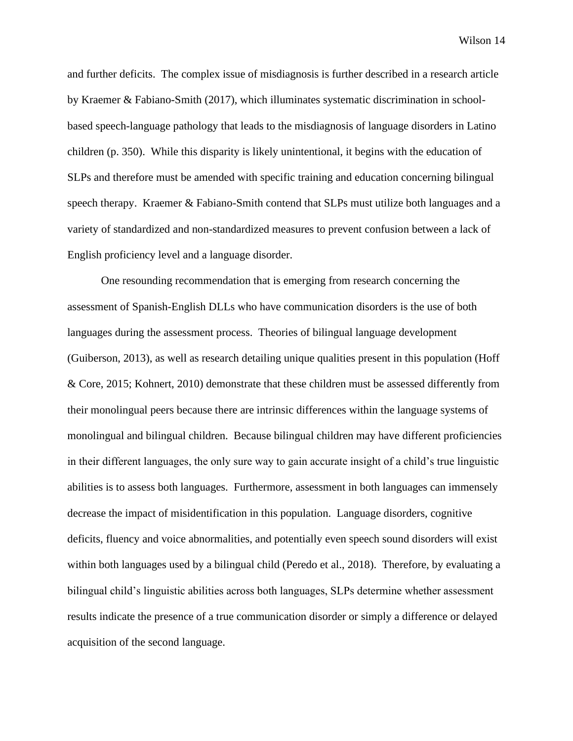and further deficits. The complex issue of misdiagnosis is further described in a research article by Kraemer & Fabiano-Smith (2017), which illuminates systematic discrimination in schoolbased speech-language pathology that leads to the misdiagnosis of language disorders in Latino children (p. 350). While this disparity is likely unintentional, it begins with the education of SLPs and therefore must be amended with specific training and education concerning bilingual speech therapy. Kraemer & Fabiano-Smith contend that SLPs must utilize both languages and a variety of standardized and non-standardized measures to prevent confusion between a lack of English proficiency level and a language disorder.

One resounding recommendation that is emerging from research concerning the assessment of Spanish-English DLLs who have communication disorders is the use of both languages during the assessment process. Theories of bilingual language development (Guiberson, 2013), as well as research detailing unique qualities present in this population (Hoff & Core, 2015; Kohnert, 2010) demonstrate that these children must be assessed differently from their monolingual peers because there are intrinsic differences within the language systems of monolingual and bilingual children. Because bilingual children may have different proficiencies in their different languages, the only sure way to gain accurate insight of a child's true linguistic abilities is to assess both languages. Furthermore, assessment in both languages can immensely decrease the impact of misidentification in this population. Language disorders, cognitive deficits, fluency and voice abnormalities, and potentially even speech sound disorders will exist within both languages used by a bilingual child (Peredo et al., 2018). Therefore, by evaluating a bilingual child's linguistic abilities across both languages, SLPs determine whether assessment results indicate the presence of a true communication disorder or simply a difference or delayed acquisition of the second language.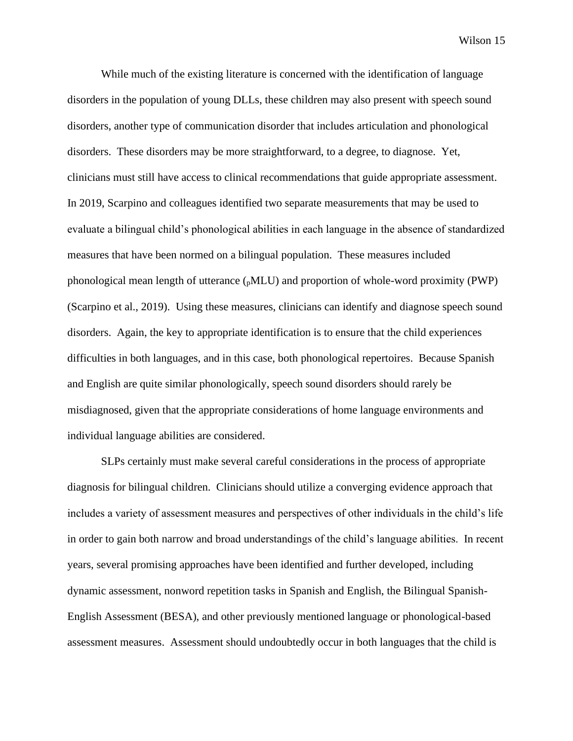While much of the existing literature is concerned with the identification of language disorders in the population of young DLLs, these children may also present with speech sound disorders, another type of communication disorder that includes articulation and phonological disorders. These disorders may be more straightforward, to a degree, to diagnose. Yet, clinicians must still have access to clinical recommendations that guide appropriate assessment. In 2019, Scarpino and colleagues identified two separate measurements that may be used to evaluate a bilingual child's phonological abilities in each language in the absence of standardized measures that have been normed on a bilingual population. These measures included phonological mean length of utterance (pMLU) and proportion of whole-word proximity (PWP) (Scarpino et al., 2019). Using these measures, clinicians can identify and diagnose speech sound disorders. Again, the key to appropriate identification is to ensure that the child experiences difficulties in both languages, and in this case, both phonological repertoires. Because Spanish and English are quite similar phonologically, speech sound disorders should rarely be misdiagnosed, given that the appropriate considerations of home language environments and individual language abilities are considered.

SLPs certainly must make several careful considerations in the process of appropriate diagnosis for bilingual children. Clinicians should utilize a converging evidence approach that includes a variety of assessment measures and perspectives of other individuals in the child's life in order to gain both narrow and broad understandings of the child's language abilities. In recent years, several promising approaches have been identified and further developed, including dynamic assessment, nonword repetition tasks in Spanish and English, the Bilingual Spanish-English Assessment (BESA), and other previously mentioned language or phonological-based assessment measures. Assessment should undoubtedly occur in both languages that the child is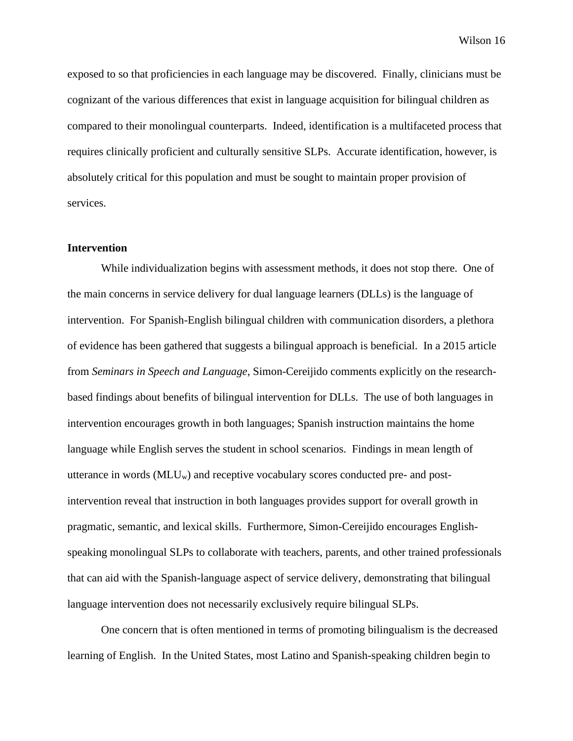exposed to so that proficiencies in each language may be discovered. Finally, clinicians must be cognizant of the various differences that exist in language acquisition for bilingual children as compared to their monolingual counterparts. Indeed, identification is a multifaceted process that requires clinically proficient and culturally sensitive SLPs. Accurate identification, however, is absolutely critical for this population and must be sought to maintain proper provision of services.

#### <span id="page-20-0"></span>**Intervention**

While individualization begins with assessment methods, it does not stop there. One of the main concerns in service delivery for dual language learners (DLLs) is the language of intervention. For Spanish-English bilingual children with communication disorders, a plethora of evidence has been gathered that suggests a bilingual approach is beneficial. In a 2015 article from *Seminars in Speech and Language*, Simon-Cereijido comments explicitly on the researchbased findings about benefits of bilingual intervention for DLLs. The use of both languages in intervention encourages growth in both languages; Spanish instruction maintains the home language while English serves the student in school scenarios. Findings in mean length of utterance in words  $(MLU_w)$  and receptive vocabulary scores conducted pre- and postintervention reveal that instruction in both languages provides support for overall growth in pragmatic, semantic, and lexical skills. Furthermore, Simon-Cereijido encourages Englishspeaking monolingual SLPs to collaborate with teachers, parents, and other trained professionals that can aid with the Spanish-language aspect of service delivery, demonstrating that bilingual language intervention does not necessarily exclusively require bilingual SLPs.

One concern that is often mentioned in terms of promoting bilingualism is the decreased learning of English. In the United States, most Latino and Spanish-speaking children begin to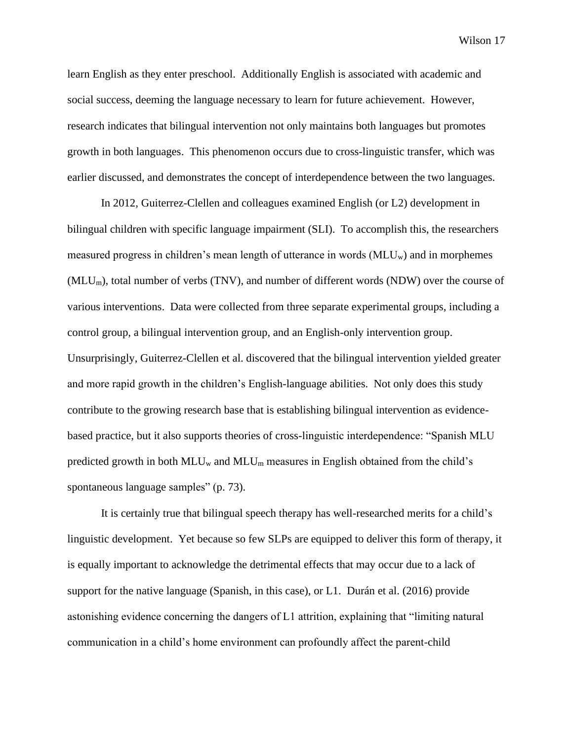learn English as they enter preschool. Additionally English is associated with academic and social success, deeming the language necessary to learn for future achievement. However, research indicates that bilingual intervention not only maintains both languages but promotes growth in both languages. This phenomenon occurs due to cross-linguistic transfer, which was earlier discussed, and demonstrates the concept of interdependence between the two languages.

In 2012, Guiterrez-Clellen and colleagues examined English (or L2) development in bilingual children with specific language impairment (SLI). To accomplish this, the researchers measured progress in children's mean length of utterance in words  $(MLU_w)$  and in morphemes (MLUm), total number of verbs (TNV), and number of different words (NDW) over the course of various interventions. Data were collected from three separate experimental groups, including a control group, a bilingual intervention group, and an English-only intervention group. Unsurprisingly, Guiterrez-Clellen et al. discovered that the bilingual intervention yielded greater and more rapid growth in the children's English-language abilities. Not only does this study contribute to the growing research base that is establishing bilingual intervention as evidencebased practice, but it also supports theories of cross-linguistic interdependence: "Spanish MLU predicted growth in both  $MLU_w$  and  $MLU_m$  measures in English obtained from the child's spontaneous language samples" (p. 73).

It is certainly true that bilingual speech therapy has well-researched merits for a child's linguistic development. Yet because so few SLPs are equipped to deliver this form of therapy, it is equally important to acknowledge the detrimental effects that may occur due to a lack of support for the native language (Spanish, in this case), or L1. Durán et al. (2016) provide astonishing evidence concerning the dangers of L1 attrition, explaining that "limiting natural communication in a child's home environment can profoundly affect the parent-child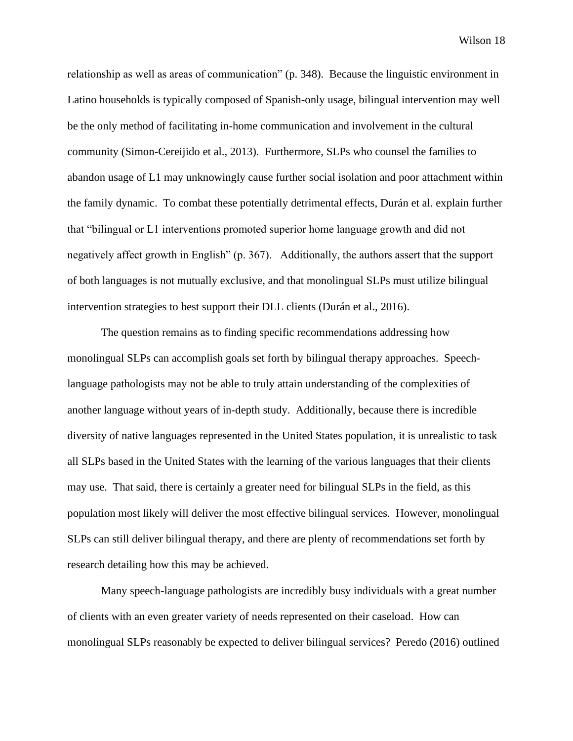relationship as well as areas of communication" (p. 348). Because the linguistic environment in Latino households is typically composed of Spanish-only usage, bilingual intervention may well be the only method of facilitating in-home communication and involvement in the cultural community (Simon-Cereijido et al., 2013). Furthermore, SLPs who counsel the families to abandon usage of L1 may unknowingly cause further social isolation and poor attachment within the family dynamic. To combat these potentially detrimental effects, Durán et al. explain further that "bilingual or L1 interventions promoted superior home language growth and did not negatively affect growth in English" (p. 367). Additionally, the authors assert that the support of both languages is not mutually exclusive, and that monolingual SLPs must utilize bilingual intervention strategies to best support their DLL clients (Durán et al., 2016).

The question remains as to finding specific recommendations addressing how monolingual SLPs can accomplish goals set forth by bilingual therapy approaches. Speechlanguage pathologists may not be able to truly attain understanding of the complexities of another language without years of in-depth study. Additionally, because there is incredible diversity of native languages represented in the United States population, it is unrealistic to task all SLPs based in the United States with the learning of the various languages that their clients may use. That said, there is certainly a greater need for bilingual SLPs in the field, as this population most likely will deliver the most effective bilingual services. However, monolingual SLPs can still deliver bilingual therapy, and there are plenty of recommendations set forth by research detailing how this may be achieved.

Many speech-language pathologists are incredibly busy individuals with a great number of clients with an even greater variety of needs represented on their caseload. How can monolingual SLPs reasonably be expected to deliver bilingual services? Peredo (2016) outlined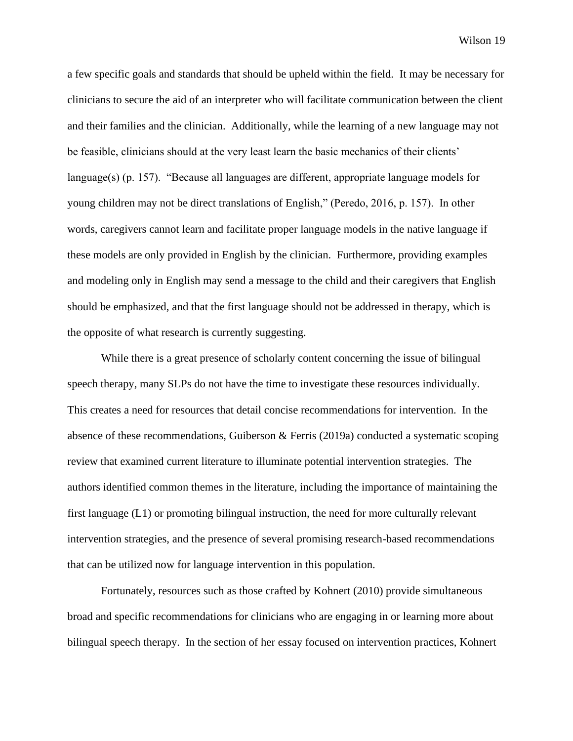a few specific goals and standards that should be upheld within the field. It may be necessary for clinicians to secure the aid of an interpreter who will facilitate communication between the client and their families and the clinician. Additionally, while the learning of a new language may not be feasible, clinicians should at the very least learn the basic mechanics of their clients' language(s) (p. 157). "Because all languages are different, appropriate language models for young children may not be direct translations of English," (Peredo, 2016, p. 157). In other words, caregivers cannot learn and facilitate proper language models in the native language if these models are only provided in English by the clinician. Furthermore, providing examples and modeling only in English may send a message to the child and their caregivers that English should be emphasized, and that the first language should not be addressed in therapy, which is the opposite of what research is currently suggesting.

While there is a great presence of scholarly content concerning the issue of bilingual speech therapy, many SLPs do not have the time to investigate these resources individually. This creates a need for resources that detail concise recommendations for intervention. In the absence of these recommendations, Guiberson & Ferris (2019a) conducted a systematic scoping review that examined current literature to illuminate potential intervention strategies. The authors identified common themes in the literature, including the importance of maintaining the first language (L1) or promoting bilingual instruction, the need for more culturally relevant intervention strategies, and the presence of several promising research-based recommendations that can be utilized now for language intervention in this population.

Fortunately, resources such as those crafted by Kohnert (2010) provide simultaneous broad and specific recommendations for clinicians who are engaging in or learning more about bilingual speech therapy. In the section of her essay focused on intervention practices, Kohnert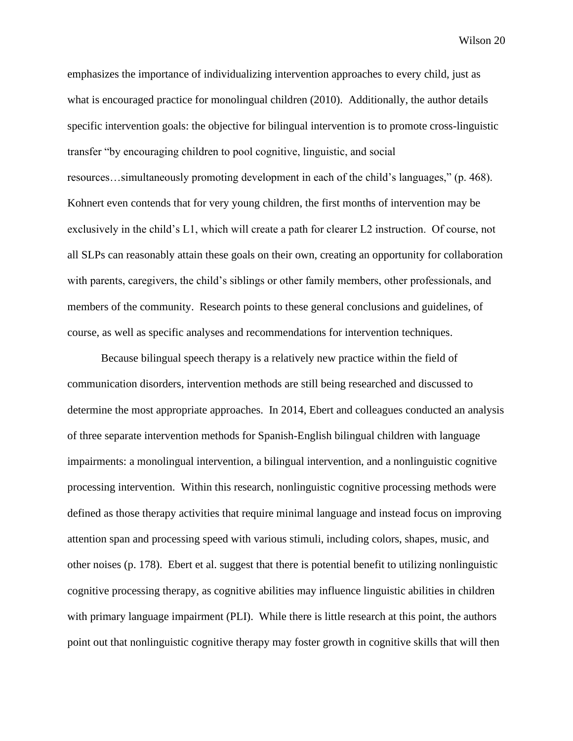emphasizes the importance of individualizing intervention approaches to every child, just as what is encouraged practice for monolingual children (2010). Additionally, the author details specific intervention goals: the objective for bilingual intervention is to promote cross-linguistic transfer "by encouraging children to pool cognitive, linguistic, and social resources…simultaneously promoting development in each of the child's languages," (p. 468). Kohnert even contends that for very young children, the first months of intervention may be exclusively in the child's L1, which will create a path for clearer L2 instruction. Of course, not all SLPs can reasonably attain these goals on their own, creating an opportunity for collaboration with parents, caregivers, the child's siblings or other family members, other professionals, and members of the community. Research points to these general conclusions and guidelines, of course, as well as specific analyses and recommendations for intervention techniques.

Because bilingual speech therapy is a relatively new practice within the field of communication disorders, intervention methods are still being researched and discussed to determine the most appropriate approaches. In 2014, Ebert and colleagues conducted an analysis of three separate intervention methods for Spanish-English bilingual children with language impairments: a monolingual intervention, a bilingual intervention, and a nonlinguistic cognitive processing intervention. Within this research, nonlinguistic cognitive processing methods were defined as those therapy activities that require minimal language and instead focus on improving attention span and processing speed with various stimuli, including colors, shapes, music, and other noises (p. 178). Ebert et al. suggest that there is potential benefit to utilizing nonlinguistic cognitive processing therapy, as cognitive abilities may influence linguistic abilities in children with primary language impairment (PLI). While there is little research at this point, the authors point out that nonlinguistic cognitive therapy may foster growth in cognitive skills that will then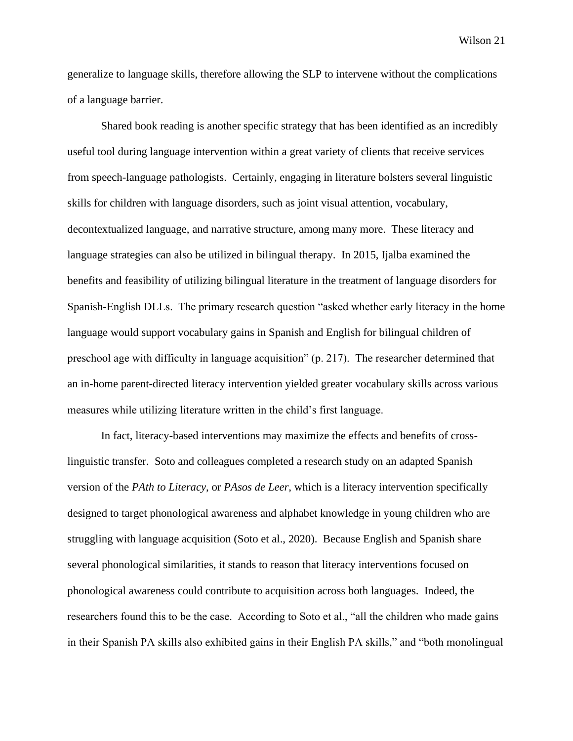generalize to language skills, therefore allowing the SLP to intervene without the complications of a language barrier.

Shared book reading is another specific strategy that has been identified as an incredibly useful tool during language intervention within a great variety of clients that receive services from speech-language pathologists. Certainly, engaging in literature bolsters several linguistic skills for children with language disorders, such as joint visual attention, vocabulary, decontextualized language, and narrative structure, among many more. These literacy and language strategies can also be utilized in bilingual therapy. In 2015, Ijalba examined the benefits and feasibility of utilizing bilingual literature in the treatment of language disorders for Spanish-English DLLs. The primary research question "asked whether early literacy in the home language would support vocabulary gains in Spanish and English for bilingual children of preschool age with difficulty in language acquisition" (p. 217). The researcher determined that an in-home parent-directed literacy intervention yielded greater vocabulary skills across various measures while utilizing literature written in the child's first language.

In fact, literacy-based interventions may maximize the effects and benefits of crosslinguistic transfer. Soto and colleagues completed a research study on an adapted Spanish version of the *PAth to Literacy*, or *PAsos de Leer*, which is a literacy intervention specifically designed to target phonological awareness and alphabet knowledge in young children who are struggling with language acquisition (Soto et al., 2020). Because English and Spanish share several phonological similarities, it stands to reason that literacy interventions focused on phonological awareness could contribute to acquisition across both languages. Indeed, the researchers found this to be the case. According to Soto et al., "all the children who made gains in their Spanish PA skills also exhibited gains in their English PA skills," and "both monolingual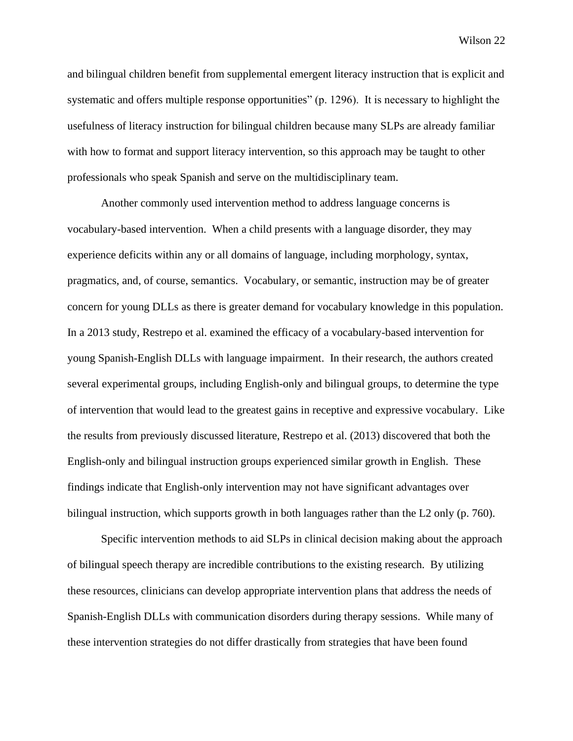and bilingual children benefit from supplemental emergent literacy instruction that is explicit and systematic and offers multiple response opportunities" (p. 1296). It is necessary to highlight the usefulness of literacy instruction for bilingual children because many SLPs are already familiar with how to format and support literacy intervention, so this approach may be taught to other professionals who speak Spanish and serve on the multidisciplinary team.

Another commonly used intervention method to address language concerns is vocabulary-based intervention. When a child presents with a language disorder, they may experience deficits within any or all domains of language, including morphology, syntax, pragmatics, and, of course, semantics. Vocabulary, or semantic, instruction may be of greater concern for young DLLs as there is greater demand for vocabulary knowledge in this population. In a 2013 study, Restrepo et al. examined the efficacy of a vocabulary-based intervention for young Spanish-English DLLs with language impairment. In their research, the authors created several experimental groups, including English-only and bilingual groups, to determine the type of intervention that would lead to the greatest gains in receptive and expressive vocabulary. Like the results from previously discussed literature, Restrepo et al. (2013) discovered that both the English-only and bilingual instruction groups experienced similar growth in English. These findings indicate that English-only intervention may not have significant advantages over bilingual instruction, which supports growth in both languages rather than the L2 only (p. 760).

Specific intervention methods to aid SLPs in clinical decision making about the approach of bilingual speech therapy are incredible contributions to the existing research. By utilizing these resources, clinicians can develop appropriate intervention plans that address the needs of Spanish-English DLLs with communication disorders during therapy sessions. While many of these intervention strategies do not differ drastically from strategies that have been found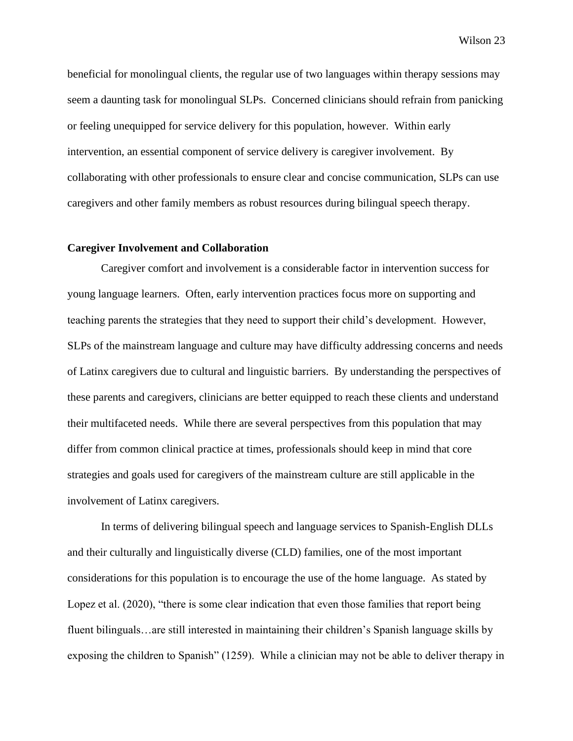beneficial for monolingual clients, the regular use of two languages within therapy sessions may seem a daunting task for monolingual SLPs. Concerned clinicians should refrain from panicking or feeling unequipped for service delivery for this population, however. Within early intervention, an essential component of service delivery is caregiver involvement. By collaborating with other professionals to ensure clear and concise communication, SLPs can use caregivers and other family members as robust resources during bilingual speech therapy.

### <span id="page-27-0"></span>**Caregiver Involvement and Collaboration**

Caregiver comfort and involvement is a considerable factor in intervention success for young language learners. Often, early intervention practices focus more on supporting and teaching parents the strategies that they need to support their child's development. However, SLPs of the mainstream language and culture may have difficulty addressing concerns and needs of Latinx caregivers due to cultural and linguistic barriers. By understanding the perspectives of these parents and caregivers, clinicians are better equipped to reach these clients and understand their multifaceted needs. While there are several perspectives from this population that may differ from common clinical practice at times, professionals should keep in mind that core strategies and goals used for caregivers of the mainstream culture are still applicable in the involvement of Latinx caregivers.

In terms of delivering bilingual speech and language services to Spanish-English DLLs and their culturally and linguistically diverse (CLD) families, one of the most important considerations for this population is to encourage the use of the home language. As stated by Lopez et al. (2020), "there is some clear indication that even those families that report being fluent bilinguals…are still interested in maintaining their children's Spanish language skills by exposing the children to Spanish" (1259). While a clinician may not be able to deliver therapy in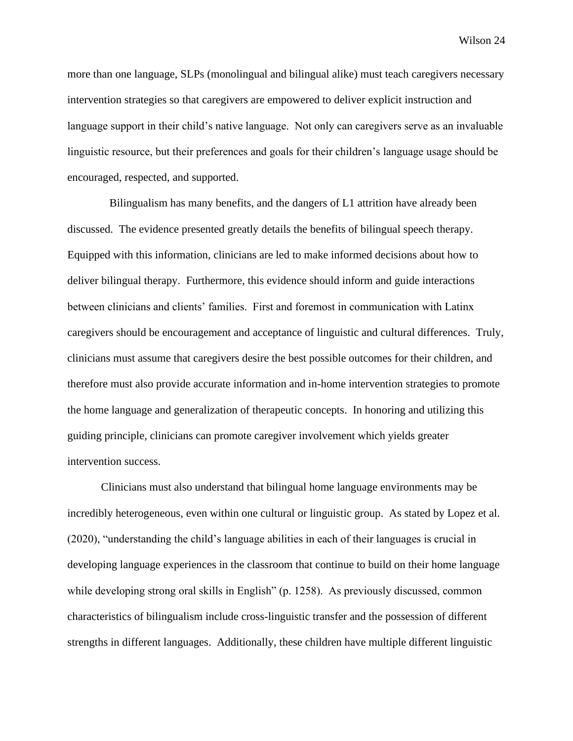more than one language, SLPs (monolingual and bilingual alike) must teach caregivers necessary intervention strategies so that caregivers are empowered to deliver explicit instruction and language support in their child's native language. Not only can caregivers serve as an invaluable linguistic resource, but their preferences and goals for their children's language usage should be encouraged, respected, and supported.

 Bilingualism has many benefits, and the dangers of L1 attrition have already been discussed. The evidence presented greatly details the benefits of bilingual speech therapy. Equipped with this information, clinicians are led to make informed decisions about how to deliver bilingual therapy. Furthermore, this evidence should inform and guide interactions between clinicians and clients' families. First and foremost in communication with Latinx caregivers should be encouragement and acceptance of linguistic and cultural differences. Truly, clinicians must assume that caregivers desire the best possible outcomes for their children, and therefore must also provide accurate information and in-home intervention strategies to promote the home language and generalization of therapeutic concepts. In honoring and utilizing this guiding principle, clinicians can promote caregiver involvement which yields greater intervention success.

Clinicians must also understand that bilingual home language environments may be incredibly heterogeneous, even within one cultural or linguistic group. As stated by Lopez et al. (2020), "understanding the child's language abilities in each of their languages is crucial in developing language experiences in the classroom that continue to build on their home language while developing strong oral skills in English" (p. 1258). As previously discussed, common characteristics of bilingualism include cross-linguistic transfer and the possession of different strengths in different languages. Additionally, these children have multiple different linguistic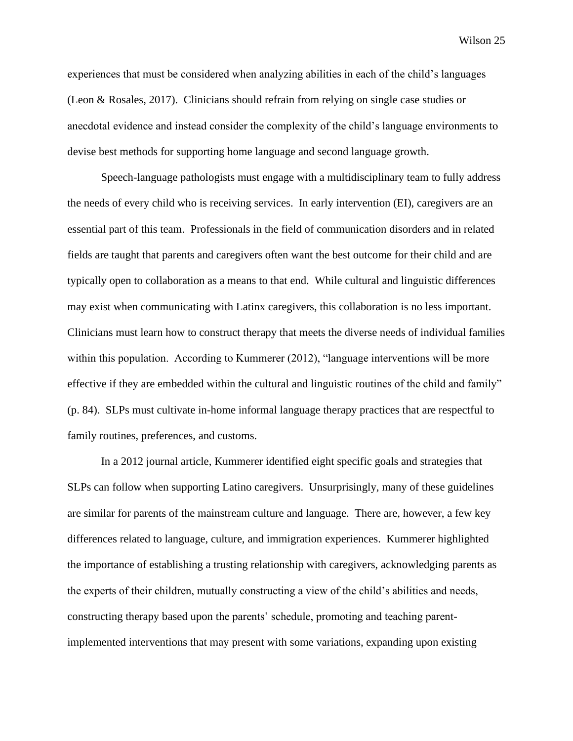experiences that must be considered when analyzing abilities in each of the child's languages (Leon & Rosales, 2017). Clinicians should refrain from relying on single case studies or anecdotal evidence and instead consider the complexity of the child's language environments to devise best methods for supporting home language and second language growth.

Speech-language pathologists must engage with a multidisciplinary team to fully address the needs of every child who is receiving services. In early intervention (EI), caregivers are an essential part of this team. Professionals in the field of communication disorders and in related fields are taught that parents and caregivers often want the best outcome for their child and are typically open to collaboration as a means to that end. While cultural and linguistic differences may exist when communicating with Latinx caregivers, this collaboration is no less important. Clinicians must learn how to construct therapy that meets the diverse needs of individual families within this population. According to Kummerer (2012), "language interventions will be more effective if they are embedded within the cultural and linguistic routines of the child and family" (p. 84). SLPs must cultivate in-home informal language therapy practices that are respectful to family routines, preferences, and customs.

In a 2012 journal article, Kummerer identified eight specific goals and strategies that SLPs can follow when supporting Latino caregivers. Unsurprisingly, many of these guidelines are similar for parents of the mainstream culture and language. There are, however, a few key differences related to language, culture, and immigration experiences. Kummerer highlighted the importance of establishing a trusting relationship with caregivers, acknowledging parents as the experts of their children, mutually constructing a view of the child's abilities and needs, constructing therapy based upon the parents' schedule, promoting and teaching parentimplemented interventions that may present with some variations, expanding upon existing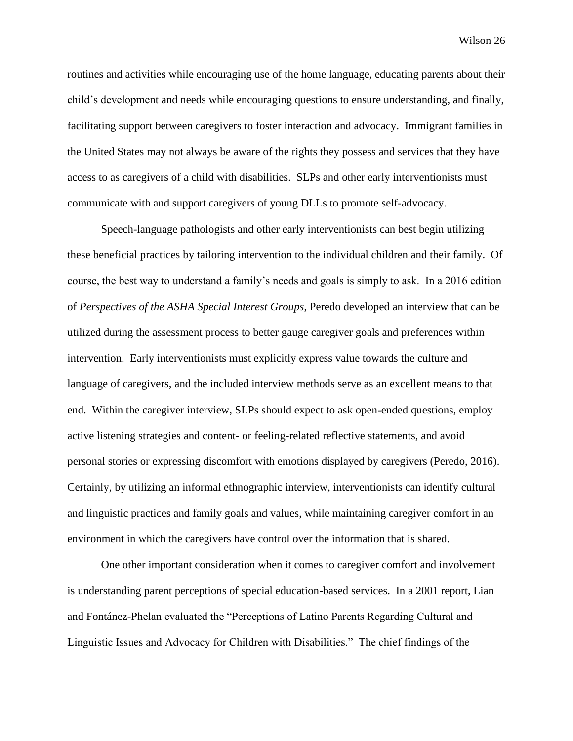routines and activities while encouraging use of the home language, educating parents about their child's development and needs while encouraging questions to ensure understanding, and finally, facilitating support between caregivers to foster interaction and advocacy. Immigrant families in the United States may not always be aware of the rights they possess and services that they have access to as caregivers of a child with disabilities. SLPs and other early interventionists must communicate with and support caregivers of young DLLs to promote self-advocacy.

Speech-language pathologists and other early interventionists can best begin utilizing these beneficial practices by tailoring intervention to the individual children and their family. Of course, the best way to understand a family's needs and goals is simply to ask. In a 2016 edition of *Perspectives of the ASHA Special Interest Groups*, Peredo developed an interview that can be utilized during the assessment process to better gauge caregiver goals and preferences within intervention. Early interventionists must explicitly express value towards the culture and language of caregivers, and the included interview methods serve as an excellent means to that end. Within the caregiver interview, SLPs should expect to ask open-ended questions, employ active listening strategies and content- or feeling-related reflective statements, and avoid personal stories or expressing discomfort with emotions displayed by caregivers (Peredo, 2016). Certainly, by utilizing an informal ethnographic interview, interventionists can identify cultural and linguistic practices and family goals and values, while maintaining caregiver comfort in an environment in which the caregivers have control over the information that is shared.

One other important consideration when it comes to caregiver comfort and involvement is understanding parent perceptions of special education-based services. In a 2001 report, Lian and Fontánez-Phelan evaluated the "Perceptions of Latino Parents Regarding Cultural and Linguistic Issues and Advocacy for Children with Disabilities." The chief findings of the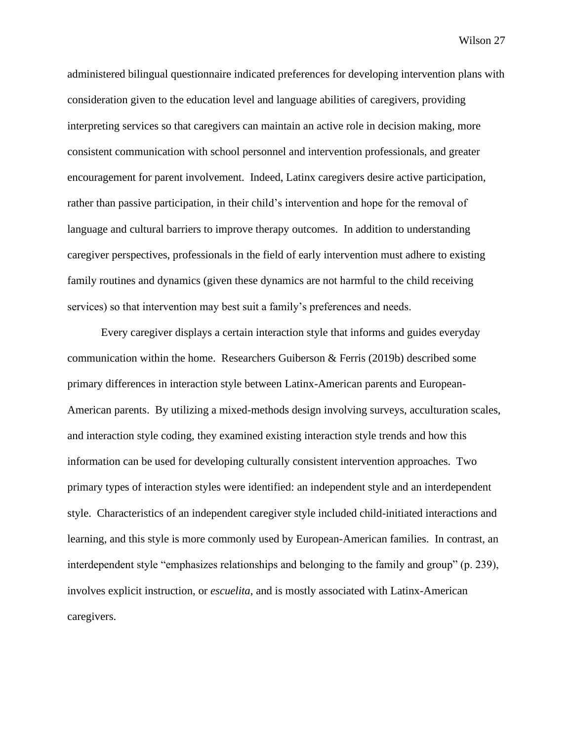administered bilingual questionnaire indicated preferences for developing intervention plans with consideration given to the education level and language abilities of caregivers, providing interpreting services so that caregivers can maintain an active role in decision making, more consistent communication with school personnel and intervention professionals, and greater encouragement for parent involvement. Indeed, Latinx caregivers desire active participation, rather than passive participation, in their child's intervention and hope for the removal of language and cultural barriers to improve therapy outcomes. In addition to understanding caregiver perspectives, professionals in the field of early intervention must adhere to existing family routines and dynamics (given these dynamics are not harmful to the child receiving services) so that intervention may best suit a family's preferences and needs.

Every caregiver displays a certain interaction style that informs and guides everyday communication within the home. Researchers Guiberson & Ferris (2019b) described some primary differences in interaction style between Latinx-American parents and European-American parents. By utilizing a mixed-methods design involving surveys, acculturation scales, and interaction style coding, they examined existing interaction style trends and how this information can be used for developing culturally consistent intervention approaches. Two primary types of interaction styles were identified: an independent style and an interdependent style. Characteristics of an independent caregiver style included child-initiated interactions and learning, and this style is more commonly used by European-American families. In contrast, an interdependent style "emphasizes relationships and belonging to the family and group" (p. 239), involves explicit instruction, or *escuelita*, and is mostly associated with Latinx-American caregivers.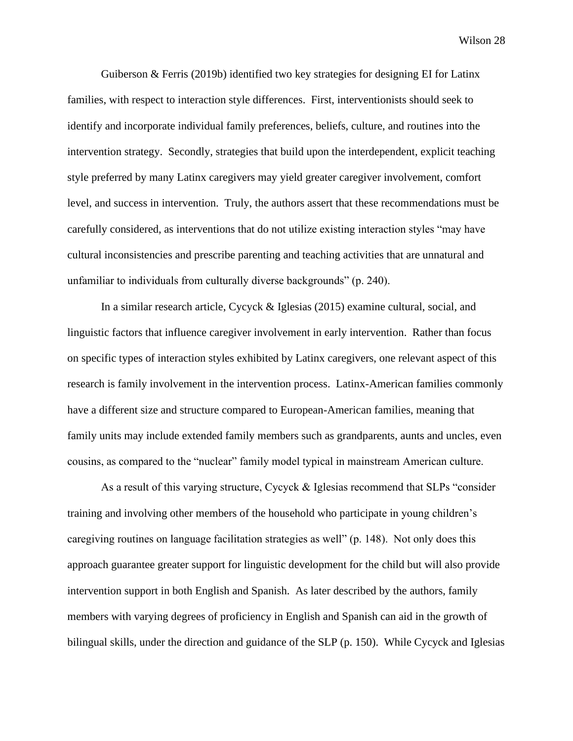Guiberson & Ferris (2019b) identified two key strategies for designing EI for Latinx families, with respect to interaction style differences. First, interventionists should seek to identify and incorporate individual family preferences, beliefs, culture, and routines into the intervention strategy. Secondly, strategies that build upon the interdependent, explicit teaching style preferred by many Latinx caregivers may yield greater caregiver involvement, comfort level, and success in intervention. Truly, the authors assert that these recommendations must be carefully considered, as interventions that do not utilize existing interaction styles "may have cultural inconsistencies and prescribe parenting and teaching activities that are unnatural and unfamiliar to individuals from culturally diverse backgrounds" (p. 240).

In a similar research article, Cycyck & Iglesias (2015) examine cultural, social, and linguistic factors that influence caregiver involvement in early intervention. Rather than focus on specific types of interaction styles exhibited by Latinx caregivers, one relevant aspect of this research is family involvement in the intervention process. Latinx-American families commonly have a different size and structure compared to European-American families, meaning that family units may include extended family members such as grandparents, aunts and uncles, even cousins, as compared to the "nuclear" family model typical in mainstream American culture.

As a result of this varying structure, Cycyck & Iglesias recommend that SLPs "consider training and involving other members of the household who participate in young children's caregiving routines on language facilitation strategies as well" (p. 148). Not only does this approach guarantee greater support for linguistic development for the child but will also provide intervention support in both English and Spanish. As later described by the authors, family members with varying degrees of proficiency in English and Spanish can aid in the growth of bilingual skills, under the direction and guidance of the SLP (p. 150). While Cycyck and Iglesias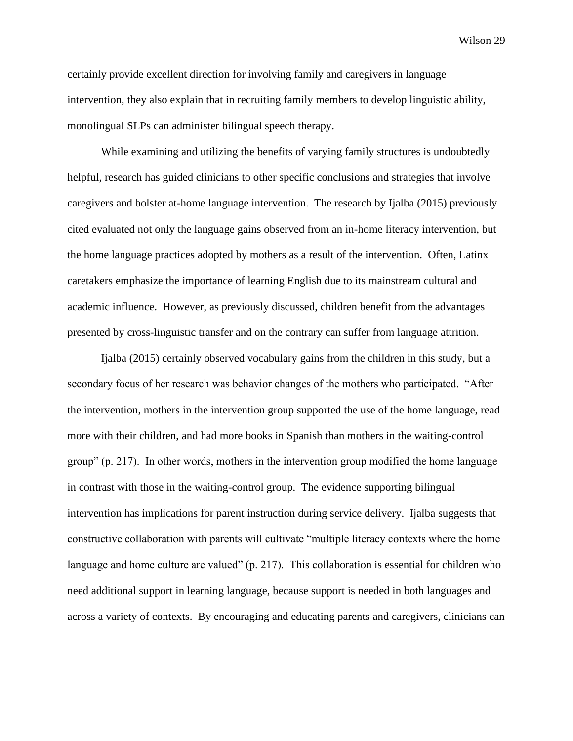certainly provide excellent direction for involving family and caregivers in language intervention, they also explain that in recruiting family members to develop linguistic ability, monolingual SLPs can administer bilingual speech therapy.

While examining and utilizing the benefits of varying family structures is undoubtedly helpful, research has guided clinicians to other specific conclusions and strategies that involve caregivers and bolster at-home language intervention. The research by Ijalba (2015) previously cited evaluated not only the language gains observed from an in-home literacy intervention, but the home language practices adopted by mothers as a result of the intervention. Often, Latinx caretakers emphasize the importance of learning English due to its mainstream cultural and academic influence. However, as previously discussed, children benefit from the advantages presented by cross-linguistic transfer and on the contrary can suffer from language attrition.

Ijalba (2015) certainly observed vocabulary gains from the children in this study, but a secondary focus of her research was behavior changes of the mothers who participated. "After the intervention, mothers in the intervention group supported the use of the home language, read more with their children, and had more books in Spanish than mothers in the waiting-control group" (p. 217). In other words, mothers in the intervention group modified the home language in contrast with those in the waiting-control group. The evidence supporting bilingual intervention has implications for parent instruction during service delivery. Ijalba suggests that constructive collaboration with parents will cultivate "multiple literacy contexts where the home language and home culture are valued" (p. 217). This collaboration is essential for children who need additional support in learning language, because support is needed in both languages and across a variety of contexts. By encouraging and educating parents and caregivers, clinicians can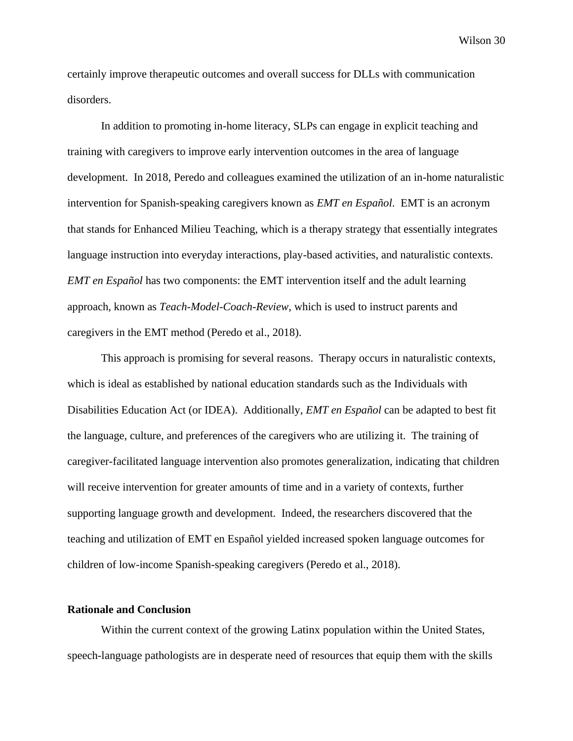certainly improve therapeutic outcomes and overall success for DLLs with communication disorders.

In addition to promoting in-home literacy, SLPs can engage in explicit teaching and training with caregivers to improve early intervention outcomes in the area of language development. In 2018, Peredo and colleagues examined the utilization of an in-home naturalistic intervention for Spanish-speaking caregivers known as *EMT en Español*. EMT is an acronym that stands for Enhanced Milieu Teaching, which is a therapy strategy that essentially integrates language instruction into everyday interactions, play-based activities, and naturalistic contexts. *EMT en Español* has two components: the EMT intervention itself and the adult learning approach, known as *Teach-Model-Coach-Review*, which is used to instruct parents and caregivers in the EMT method (Peredo et al., 2018).

This approach is promising for several reasons. Therapy occurs in naturalistic contexts, which is ideal as established by national education standards such as the Individuals with Disabilities Education Act (or IDEA). Additionally, *EMT en Español* can be adapted to best fit the language, culture, and preferences of the caregivers who are utilizing it. The training of caregiver-facilitated language intervention also promotes generalization, indicating that children will receive intervention for greater amounts of time and in a variety of contexts, further supporting language growth and development. Indeed, the researchers discovered that the teaching and utilization of EMT en Español yielded increased spoken language outcomes for children of low-income Spanish-speaking caregivers (Peredo et al., 2018).

### <span id="page-34-0"></span>**Rationale and Conclusion**

Within the current context of the growing Latinx population within the United States, speech-language pathologists are in desperate need of resources that equip them with the skills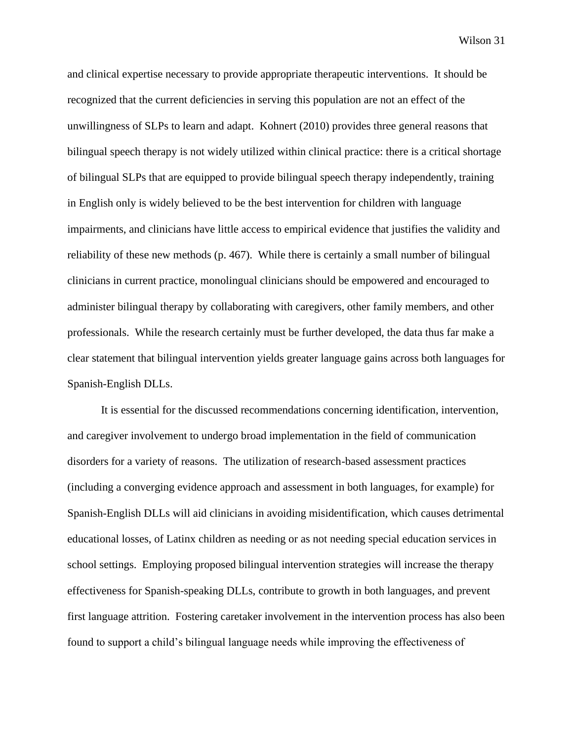and clinical expertise necessary to provide appropriate therapeutic interventions. It should be recognized that the current deficiencies in serving this population are not an effect of the unwillingness of SLPs to learn and adapt. Kohnert (2010) provides three general reasons that bilingual speech therapy is not widely utilized within clinical practice: there is a critical shortage of bilingual SLPs that are equipped to provide bilingual speech therapy independently, training in English only is widely believed to be the best intervention for children with language impairments, and clinicians have little access to empirical evidence that justifies the validity and reliability of these new methods (p. 467). While there is certainly a small number of bilingual clinicians in current practice, monolingual clinicians should be empowered and encouraged to administer bilingual therapy by collaborating with caregivers, other family members, and other professionals. While the research certainly must be further developed, the data thus far make a clear statement that bilingual intervention yields greater language gains across both languages for Spanish-English DLLs.

It is essential for the discussed recommendations concerning identification, intervention, and caregiver involvement to undergo broad implementation in the field of communication disorders for a variety of reasons. The utilization of research-based assessment practices (including a converging evidence approach and assessment in both languages, for example) for Spanish-English DLLs will aid clinicians in avoiding misidentification, which causes detrimental educational losses, of Latinx children as needing or as not needing special education services in school settings. Employing proposed bilingual intervention strategies will increase the therapy effectiveness for Spanish-speaking DLLs, contribute to growth in both languages, and prevent first language attrition. Fostering caretaker involvement in the intervention process has also been found to support a child's bilingual language needs while improving the effectiveness of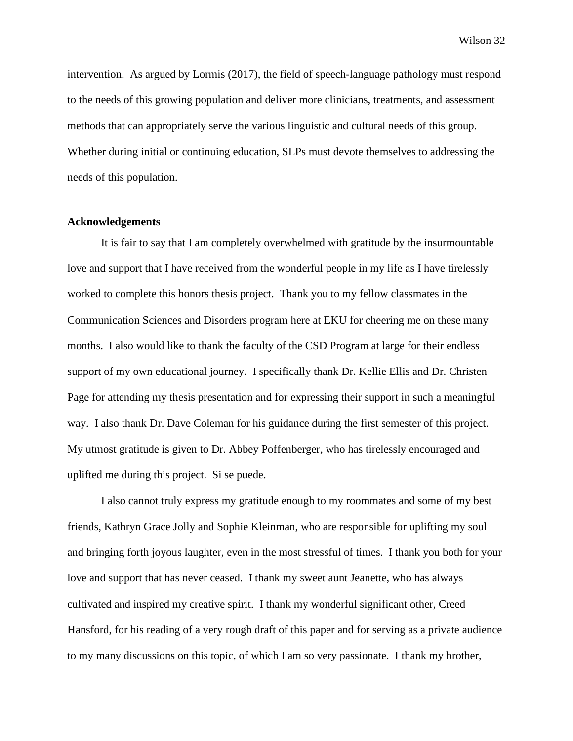intervention. As argued by Lormis (2017), the field of speech-language pathology must respond to the needs of this growing population and deliver more clinicians, treatments, and assessment methods that can appropriately serve the various linguistic and cultural needs of this group. Whether during initial or continuing education, SLPs must devote themselves to addressing the needs of this population.

### <span id="page-36-0"></span>**Acknowledgements**

It is fair to say that I am completely overwhelmed with gratitude by the insurmountable love and support that I have received from the wonderful people in my life as I have tirelessly worked to complete this honors thesis project. Thank you to my fellow classmates in the Communication Sciences and Disorders program here at EKU for cheering me on these many months. I also would like to thank the faculty of the CSD Program at large for their endless support of my own educational journey. I specifically thank Dr. Kellie Ellis and Dr. Christen Page for attending my thesis presentation and for expressing their support in such a meaningful way. I also thank Dr. Dave Coleman for his guidance during the first semester of this project. My utmost gratitude is given to Dr. Abbey Poffenberger, who has tirelessly encouraged and uplifted me during this project. Si se puede.

I also cannot truly express my gratitude enough to my roommates and some of my best friends, Kathryn Grace Jolly and Sophie Kleinman, who are responsible for uplifting my soul and bringing forth joyous laughter, even in the most stressful of times. I thank you both for your love and support that has never ceased. I thank my sweet aunt Jeanette, who has always cultivated and inspired my creative spirit. I thank my wonderful significant other, Creed Hansford, for his reading of a very rough draft of this paper and for serving as a private audience to my many discussions on this topic, of which I am so very passionate. I thank my brother,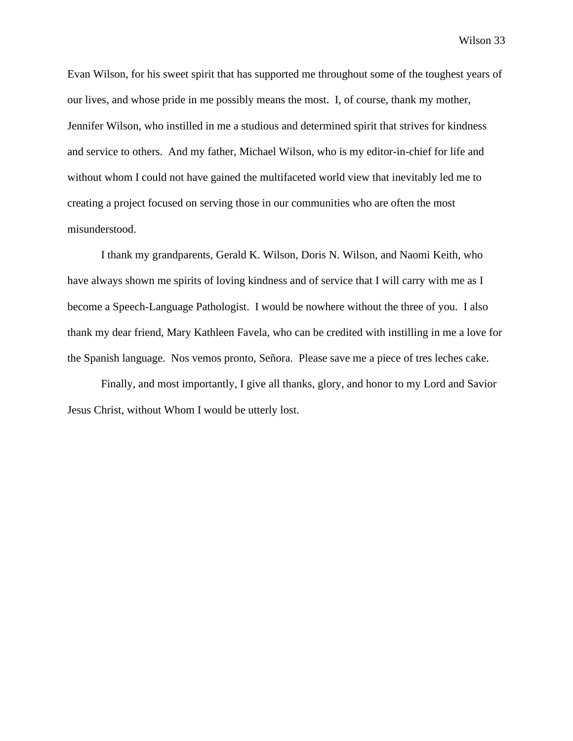Evan Wilson, for his sweet spirit that has supported me throughout some of the toughest years of our lives, and whose pride in me possibly means the most. I, of course, thank my mother, Jennifer Wilson, who instilled in me a studious and determined spirit that strives for kindness and service to others. And my father, Michael Wilson, who is my editor-in-chief for life and without whom I could not have gained the multifaceted world view that inevitably led me to creating a project focused on serving those in our communities who are often the most misunderstood.

I thank my grandparents, Gerald K. Wilson, Doris N. Wilson, and Naomi Keith, who have always shown me spirits of loving kindness and of service that I will carry with me as I become a Speech-Language Pathologist. I would be nowhere without the three of you. I also thank my dear friend, Mary Kathleen Favela, who can be credited with instilling in me a love for the Spanish language. Nos vemos pronto, Señora. Please save me a piece of tres leches cake.

Finally, and most importantly, I give all thanks, glory, and honor to my Lord and Savior Jesus Christ, without Whom I would be utterly lost.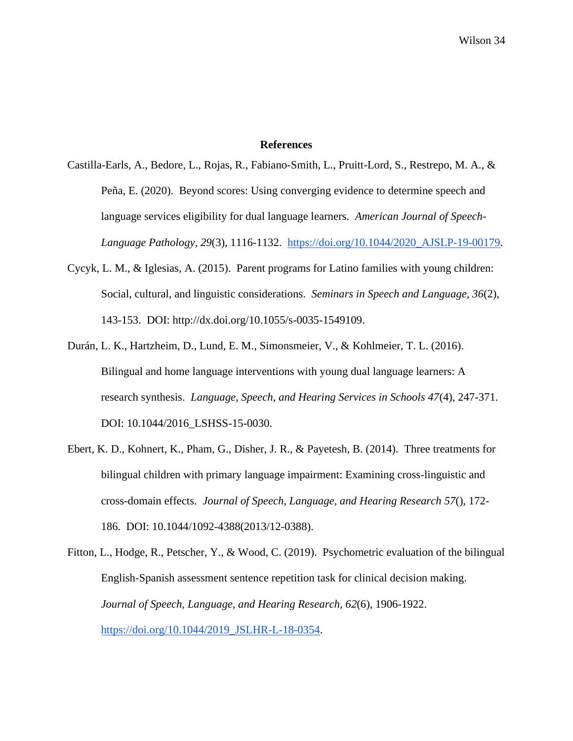## **References**

<span id="page-38-0"></span>Castilla-Earls, A., Bedore, L., Rojas, R., Fabiano-Smith, L., Pruitt-Lord, S., Restrepo, M. A., & Peña, E. (2020). Beyond scores: Using converging evidence to determine speech and language services eligibility for dual language learners. *American Journal of Speech-Language Pathology, 29*(3), 1116-1132. [https://doi.org/10.1044/2020\\_AJSLP-19-00179.](https://doi.org/10.1044/2020_AJSLP-19-00179)

- Cycyk, L. M., & Iglesias, A. (2015). Parent programs for Latino families with young children: Social, cultural, and linguistic considerations. *Seminars in Speech and Language, 36*(2), 143-153. DOI: http://dx.doi.org/10.1055/s-0035-1549109.
- Durán, L. K., Hartzheim, D., Lund, E. M., Simonsmeier, V., & Kohlmeier, T. L. (2016). Bilingual and home language interventions with young dual language learners: A research synthesis. *Language, Speech, and Hearing Services in Schools 47*(4), 247-371. DOI: 10.1044/2016\_LSHSS-15-0030.
- Ebert, K. D., Kohnert, K., Pham, G., Disher, J. R., & Payetesh, B. (2014). Three treatments for bilingual children with primary language impairment: Examining cross-linguistic and cross-domain effects. *Journal of Speech, Language, and Hearing Research 57*(), 172- 186. DOI: 10.1044/1092-4388(2013/12-0388).
- Fitton, L., Hodge, R., Petscher, Y., & Wood, C. (2019). Psychometric evaluation of the bilingual English-Spanish assessment sentence repetition task for clinical decision making. *Journal of Speech, Language, and Hearing Research, 62*(6), 1906-1922. [https://doi.org/10.1044/2019\\_JSLHR-L-18-0354.](https://doi.org/10.1044/2019_JSLHR-L-18-0354)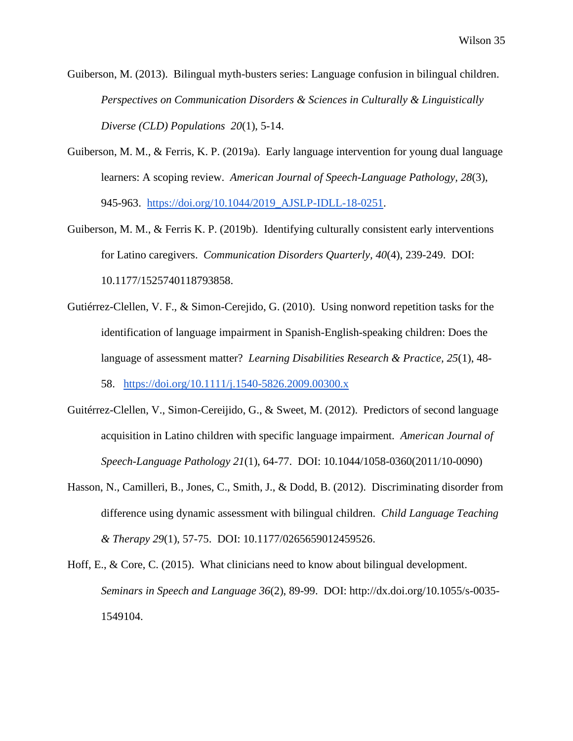Guiberson, M. (2013). Bilingual myth-busters series: Language confusion in bilingual children. *Perspectives on Communication Disorders & Sciences in Culturally & Linguistically Diverse (CLD) Populations 20*(1), 5-14.

- Guiberson, M. M., & Ferris, K. P. (2019a). Early language intervention for young dual language learners: A scoping review. *American Journal of Speech-Language Pathology, 28*(3), 945-963. [https://doi.org/10.1044/2019\\_AJSLP-IDLL-18-0251.](https://doi.org/10.1044/2019_AJSLP-IDLL-18-0251)
- Guiberson, M. M., & Ferris K. P. (2019b). Identifying culturally consistent early interventions for Latino caregivers. *Communication Disorders Quarterly, 40*(4), 239-249. DOI: 10.1177/1525740118793858.
- Gutiérrez-Clellen, V. F., & Simon-Cerejido, G. (2010). Using nonword repetition tasks for the identification of language impairment in Spanish-English-speaking children: Does the language of assessment matter? *Learning Disabilities Research & Practice, 25*(1), 48-

58. [https://doi.org/10.1111/j.1540-5826.2009.00300.x](https://nam02.safelinks.protection.outlook.com/?url=https%3A%2F%2Fdoi.org%2F10.1111%2Fj.1540-5826.2009.00300.x&data=04%7C01%7Cerin_wilson77%40mymail.eku.edu%7Cc1b20e0ce48b4f8db61d08d9784e5577%7Ce23043271af04dee83fbc1b2fd6db0bb%7C0%7C0%7C637673100113869996%7CUnknown%7CTWFpbGZsb3d8eyJWIjoiMC4wLjAwMDAiLCJQIjoiV2luMzIiLCJBTiI6Ik1haWwiLCJXVCI6Mn0%3D%7C1000&sdata=pumhelkRADb5LmFOPDXockp6Hp7Onl4H9wokKSBHb%2Fg%3D&reserved=0)

- Guitérrez-Clellen, V., Simon-Cereijido, G., & Sweet, M. (2012). Predictors of second language acquisition in Latino children with specific language impairment. *American Journal of Speech-Language Pathology 21*(1), 64-77. DOI: 10.1044/1058-0360(2011/10-0090)
- Hasson, N., Camilleri, B., Jones, C., Smith, J., & Dodd, B. (2012). Discriminating disorder from difference using dynamic assessment with bilingual children. *Child Language Teaching & Therapy 29*(1), 57-75. DOI: 10.1177/0265659012459526.
- Hoff, E., & Core, C. (2015). What clinicians need to know about bilingual development. *Seminars in Speech and Language 36*(2), 89-99. DOI: http://dx.doi.org/10.1055/s-0035- 1549104.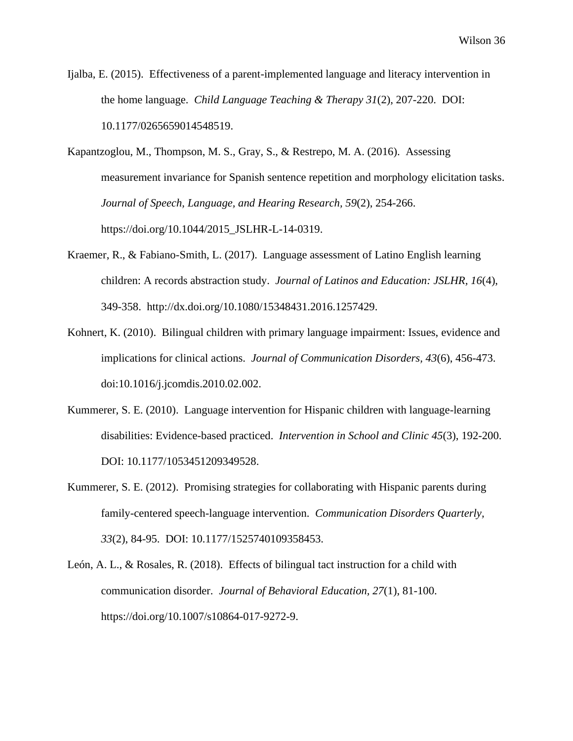Ijalba, E. (2015). Effectiveness of a parent-implemented language and literacy intervention in the home language. *Child Language Teaching & Therapy 31*(2), 207-220. DOI: 10.1177/0265659014548519.

Kapantzoglou, M., Thompson, M. S., Gray, S., & Restrepo, M. A. (2016). Assessing measurement invariance for Spanish sentence repetition and morphology elicitation tasks. *Journal of Speech, Language, and Hearing Research, 59*(2), 254-266. https://doi.org/10.1044/2015\_JSLHR-L-14-0319.

- Kraemer, R., & Fabiano-Smith, L. (2017). Language assessment of Latino English learning children: A records abstraction study. *Journal of Latinos and Education: JSLHR, 16*(4), 349-358. http://dx.doi.org/10.1080/15348431.2016.1257429.
- Kohnert, K. (2010). Bilingual children with primary language impairment: Issues, evidence and implications for clinical actions. *Journal of Communication Disorders, 43*(6), 456-473. doi:10.1016/j.jcomdis.2010.02.002.
- Kummerer, S. E. (2010). Language intervention for Hispanic children with language-learning disabilities: Evidence-based practiced. *Intervention in School and Clinic 45*(3), 192-200. DOI: 10.1177/1053451209349528.
- Kummerer, S. E. (2012). Promising strategies for collaborating with Hispanic parents during family-centered speech-language intervention. *Communication Disorders Quarterly, 33*(2), 84-95. DOI: 10.1177/1525740109358453.
- León, A. L., & Rosales, R. (2018). Effects of bilingual tact instruction for a child with communication disorder. *Journal of Behavioral Education, 27*(1), 81-100. https://doi.org/10.1007/s10864-017-9272-9.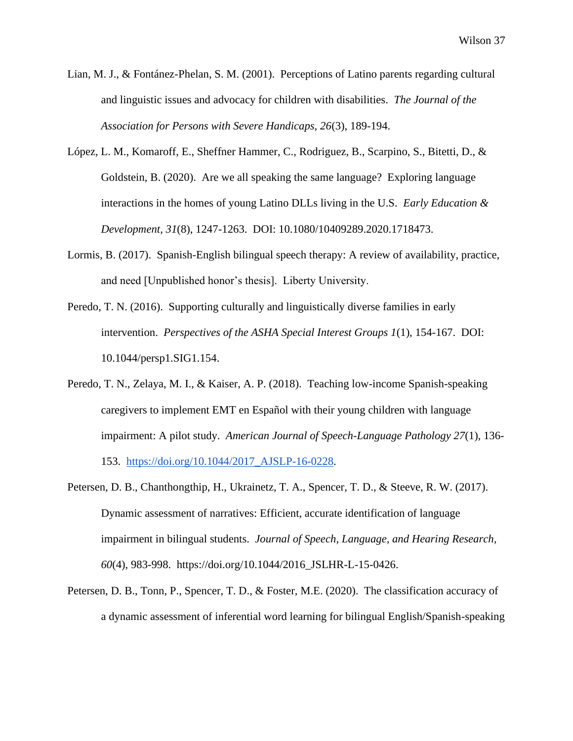- Lian, M. J., & Fontánez-Phelan, S. M. (2001). Perceptions of Latino parents regarding cultural and linguistic issues and advocacy for children with disabilities. *The Journal of the Association for Persons with Severe Handicaps, 26*(3), 189-194.
- López, L. M., Komaroff, E., Sheffner Hammer, C., Rodriguez, B., Scarpino, S., Bitetti, D., & Goldstein, B. (2020). Are we all speaking the same language? Exploring language interactions in the homes of young Latino DLLs living in the U.S. *Early Education & Development, 31*(8), 1247-1263. DOI: 10.1080/10409289.2020.1718473.
- Lormis, B. (2017). Spanish-English bilingual speech therapy: A review of availability, practice, and need [Unpublished honor's thesis]. Liberty University.
- Peredo, T. N. (2016). Supporting culturally and linguistically diverse families in early intervention. *Perspectives of the ASHA Special Interest Groups 1*(1), 154-167. DOI: 10.1044/persp1.SIG1.154.
- Peredo, T. N., Zelaya, M. I., & Kaiser, A. P. (2018). Teaching low-income Spanish-speaking caregivers to implement EMT en Español with their young children with language impairment: A pilot study. *American Journal of Speech-Language Pathology 27*(1), 136- 153. https://doi.org/10.1044/2017\_AJSLP-16-0228.
- Petersen, D. B., Chanthongthip, H., Ukrainetz, T. A., Spencer, T. D., & Steeve, R. W. (2017). Dynamic assessment of narratives: Efficient, accurate identification of language impairment in bilingual students. *Journal of Speech, Language, and Hearing Research, 60*(4), 983-998. https://doi.org/10.1044/2016\_JSLHR-L-15-0426.
- Petersen, D. B., Tonn, P., Spencer, T. D., & Foster, M.E. (2020). The classification accuracy of a dynamic assessment of inferential word learning for bilingual English/Spanish-speaking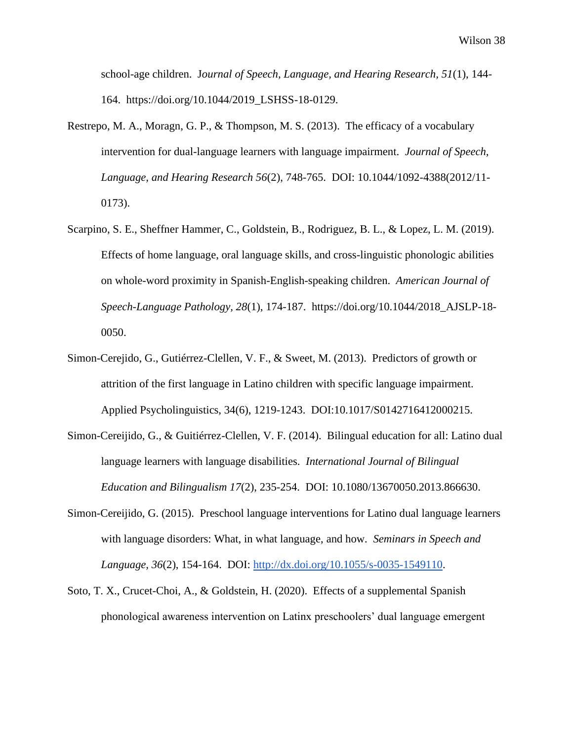school-age children. J*ournal of Speech, Language, and Hearing Research, 51*(1), 144- 164. https://doi.org/10.1044/2019\_LSHSS-18-0129.

- Restrepo, M. A., Moragn, G. P., & Thompson, M. S. (2013). The efficacy of a vocabulary intervention for dual-language learners with language impairment. *Journal of Speech, Language, and Hearing Research 56*(2), 748-765. DOI: 10.1044/1092-4388(2012/11- 0173).
- Scarpino, S. E., Sheffner Hammer, C., Goldstein, B., Rodriguez, B. L., & Lopez, L. M. (2019). Effects of home language, oral language skills, and cross-linguistic phonologic abilities on whole-word proximity in Spanish-English-speaking children. *American Journal of Speech-Language Pathology, 28*(1), 174-187. https://doi.org/10.1044/2018\_AJSLP-18- 0050.
- Simon-Cerejido, G., Gutiérrez-Clellen, V. F., & Sweet, M. (2013). Predictors of growth or attrition of the first language in Latino children with specific language impairment. Applied Psycholinguistics, 34(6), 1219-1243. DOI:10.1017/S0142716412000215.
- Simon-Cereijido, G., & Guitiérrez-Clellen, V. F. (2014). Bilingual education for all: Latino dual language learners with language disabilities. *International Journal of Bilingual Education and Bilingualism 17*(2), 235-254. DOI: 10.1080/13670050.2013.866630.
- Simon-Cereijido, G. (2015). Preschool language interventions for Latino dual language learners with language disorders: What, in what language, and how*. Seminars in Speech and Language, 36*(2), 154-164. DOI: http://dx.doi.org/10.1055/s-0035-1549110.
- Soto, T. X., Crucet-Choi, A., & Goldstein, H. (2020). Effects of a supplemental Spanish phonological awareness intervention on Latinx preschoolers' dual language emergent